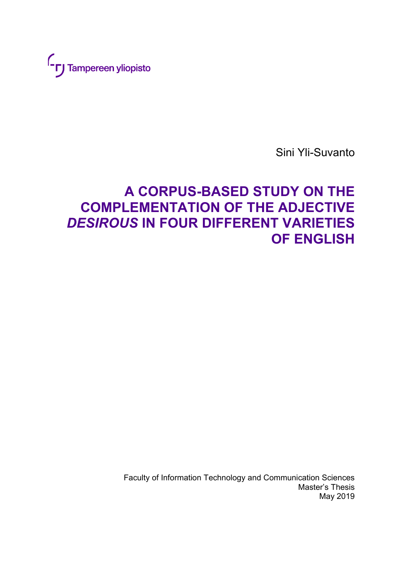

Sini Yli-Suvanto

# **A CORPUS-BASED STUDY ON THE COMPLEMENTATION OF THE ADJECTIVE**  *DESIROUS* **IN FOUR DIFFERENT VARIETIES OF ENGLISH**

Faculty of Information Technology and Communication Sciences Master's Thesis May 2019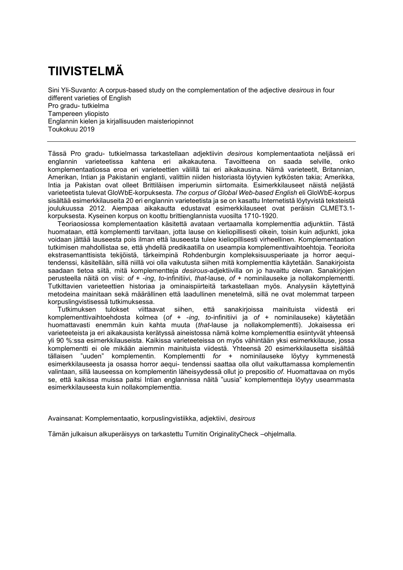## **TIIVISTELMÄ**

Sini Yli-Suvanto: A corpus-based study on the complementation of the adjective *desirous* in four different varieties of English Pro gradu- tutkielma Tampereen yliopisto Englannin kielen ja kirjallisuuden maisteriopinnot Toukokuu 2019

Tässä Pro gradu- tutkielmassa tarkastellaan adjektiivin *desirous* komplementaatiota neljässä eri englannin varieteetissa kahtena eri aikakautena. Tavoitteena on saada selville, onko komplementaatiossa eroa eri varieteettien välillä tai eri aikakausina. Nämä varieteetit, Britannian, Amerikan, Intian ja Pakistanin englanti, valittiin niiden historiasta löytyvien kytkösten takia; Amerikka, Intia ja Pakistan ovat olleet Brittiläisen imperiumin siirtomaita. Esimerkkilauseet näistä neljästä varieteetista tulevat GloWbE-korpuksesta. *The corpus of Global Web-based English* eli GloWbE-korpus sisältää esimerkkilauseita 20 eri englannin varieteetista ja se on kasattu Internetistä löytyvistä teksteistä joulukuussa 2012. Aiempaa aikakautta edustavat esimerkkilauseet ovat peräisin CLMET3.1 korpuksesta. Kyseinen korpus on koottu brittienglannista vuosilta 1710-1920.

Teoriaosiossa komplementaation käsitettä avataan vertaamalla komplementtia adjunktiin. Tästä huomataan, että komplementti tarvitaan, jotta lause on kieliopillisesti oikein, toisin kuin adjunkti, joka voidaan jättää lauseesta pois ilman että lauseesta tulee kieliopillisesti virheellinen. Komplementaation tutkimisen mahdollistaa se, että yhdellä predikaatilla on useampia komplementtivaihtoehtoja. Teorioita ekstrasemanttisista tekijöistä, tärkeimpinä Rohdenburgin kompleksisuusperiaate ja horror aequitendenssi, käsitellään, sillä niillä voi olla vaikutusta siihen mitä komplementtia käytetään. Sanakirjoista saadaan tietoa siitä, mitä komplementteja *desirous*-adjektiivilla on jo havaittu olevan. Sanakirjojen perusteella näitä on viisi: *of* + -*ing*, *to*-infinitiivi, *that*-lause, *of* + nominilauseke ja nollakomplementti. Tutkittavien varieteettien historiaa ja ominaispiirteitä tarkastellaan myös. Analyysiin käytettyinä metodeina mainitaan sekä määrällinen että laadullinen menetelmä, sillä ne ovat molemmat tarpeen korpuslingvistisessä tutkimuksessa.

Tutkimuksen tulokset viittaavat siihen, että sanakirjoissa mainituista viidestä eri komplementtivaihtoehdosta kolmea (*of* + -*ing*, *to*-infinitiivi ja *of* + nominilauseke) käytetään huomattavasti enemmän kuin kahta muuta (*that*-lause ja nollakomplementti). Jokaisessa eri varieteeteista ja eri aikakausista kerätyssä aineistossa nämä kolme komplementtia esiintyvät yhteensä yli 90 %:ssa esimerkkilauseista. Kaikissa varieteeteissa on myös vähintään yksi esimerkkilause, jossa komplementti ei ole mikään aiemmin mainituista viidestä. Yhteensä 20 esimerkkilausetta sisältää tällaisen "uuden" komplementin. Komplementti *for* + nominilauseke löytyy kymmenestä esimerkkilauseesta ja osassa horror aequi- tendenssi saattaa olla ollut vaikuttamassa komplementin valintaan, sillä lauseessa on komplementin läheisyydessä ollut jo prepositio *of*. Huomattavaa on myös se, että kaikissa muissa paitsi Intian englannissa näitä "uusia" komplementteja löytyy useammasta esimerkkilauseesta kuin nollakomplementtia.

Avainsanat: Komplementaatio, korpuslingvistiikka, adjektiivi, *desirous* 

Tämän julkaisun alkuperäisyys on tarkastettu Turnitin OriginalityCheck –ohjelmalla.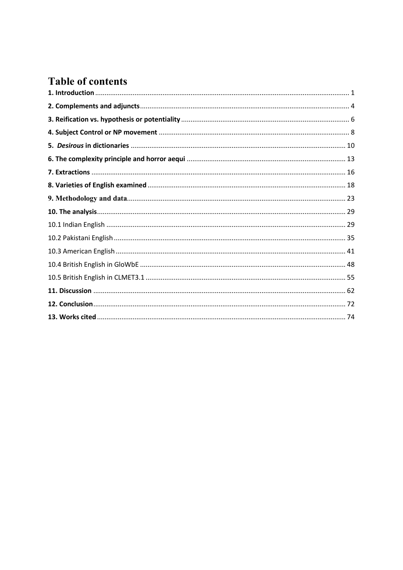### **Table of contents**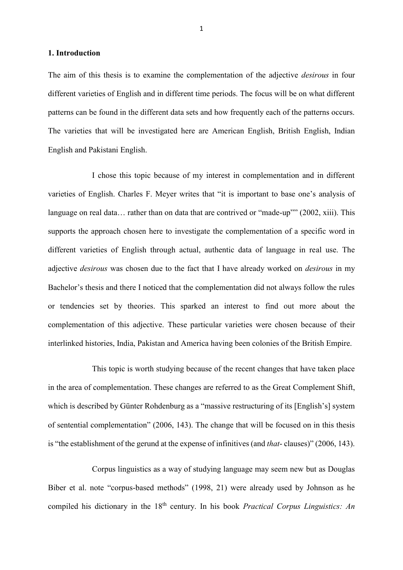#### <span id="page-3-0"></span>**1. Introduction**

The aim of this thesis is to examine the complementation of the adjective *desirous* in four different varieties of English and in different time periods. The focus will be on what different patterns can be found in the different data sets and how frequently each of the patterns occurs. The varieties that will be investigated here are American English, British English, Indian English and Pakistani English.

I chose this topic because of my interest in complementation and in different varieties of English. Charles F. Meyer writes that "it is important to base one's analysis of language on real data... rather than on data that are contrived or "made-up"" (2002, xiii). This supports the approach chosen here to investigate the complementation of a specific word in different varieties of English through actual, authentic data of language in real use. The adjective *desirous* was chosen due to the fact that I have already worked on *desirous* in my Bachelor's thesis and there I noticed that the complementation did not always follow the rules or tendencies set by theories. This sparked an interest to find out more about the complementation of this adjective. These particular varieties were chosen because of their interlinked histories, India, Pakistan and America having been colonies of the British Empire.

This topic is worth studying because of the recent changes that have taken place in the area of complementation. These changes are referred to as the Great Complement Shift, which is described by Günter Rohdenburg as a "massive restructuring of its [English's] system of sentential complementation" (2006, 143). The change that will be focused on in this thesis is "the establishment of the gerund at the expense of infinitives (and *that*- clauses)" (2006, 143).

Corpus linguistics as a way of studying language may seem new but as Douglas Biber et al. note "corpus-based methods" (1998, 21) were already used by Johnson as he compiled his dictionary in the 18th century. In his book *Practical Corpus Linguistics: An*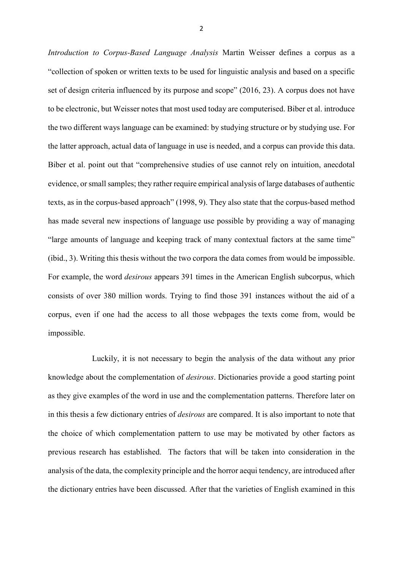*Introduction to Corpus-Based Language Analysis* Martin Weisser defines a corpus as a "collection of spoken or written texts to be used for linguistic analysis and based on a specific set of design criteria influenced by its purpose and scope" (2016, 23). A corpus does not have to be electronic, but Weisser notes that most used today are computerised. Biber et al. introduce the two different ways language can be examined: by studying structure or by studying use. For the latter approach, actual data of language in use is needed, and a corpus can provide this data. Biber et al. point out that "comprehensive studies of use cannot rely on intuition, anecdotal evidence, or small samples; they rather require empirical analysis of large databases of authentic texts, as in the corpus-based approach" (1998, 9). They also state that the corpus-based method has made several new inspections of language use possible by providing a way of managing "large amounts of language and keeping track of many contextual factors at the same time" (ibid., 3). Writing this thesis without the two corpora the data comes from would be impossible. For example, the word *desirous* appears 391 times in the American English subcorpus, which consists of over 380 million words. Trying to find those 391 instances without the aid of a corpus, even if one had the access to all those webpages the texts come from, would be impossible.

Luckily, it is not necessary to begin the analysis of the data without any prior knowledge about the complementation of *desirous*. Dictionaries provide a good starting point as they give examples of the word in use and the complementation patterns. Therefore later on in this thesis a few dictionary entries of *desirous* are compared. It is also important to note that the choice of which complementation pattern to use may be motivated by other factors as previous research has established. The factors that will be taken into consideration in the analysis of the data, the complexity principle and the horror aequi tendency, are introduced after the dictionary entries have been discussed. After that the varieties of English examined in this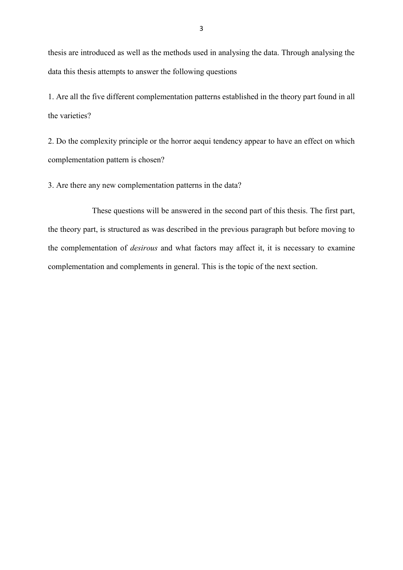thesis are introduced as well as the methods used in analysing the data. Through analysing the data this thesis attempts to answer the following questions

1. Are all the five different complementation patterns established in the theory part found in all the varieties?

2. Do the complexity principle or the horror aequi tendency appear to have an effect on which complementation pattern is chosen?

3. Are there any new complementation patterns in the data?

These questions will be answered in the second part of this thesis. The first part, the theory part, is structured as was described in the previous paragraph but before moving to the complementation of *desirous* and what factors may affect it, it is necessary to examine complementation and complements in general. This is the topic of the next section.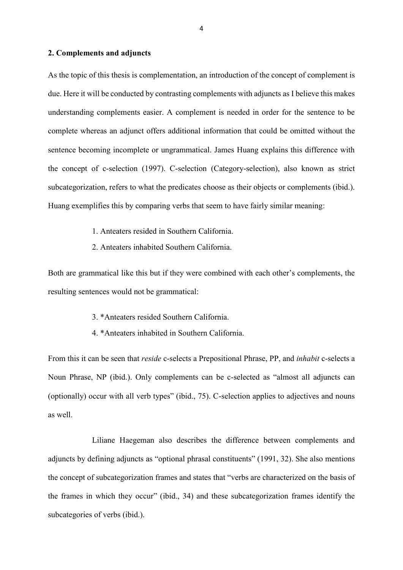#### <span id="page-6-0"></span>**2. Complements and adjuncts**

As the topic of this thesis is complementation, an introduction of the concept of complement is due. Here it will be conducted by contrasting complements with adjuncts as I believe this makes understanding complements easier. A complement is needed in order for the sentence to be complete whereas an adjunct offers additional information that could be omitted without the sentence becoming incomplete or ungrammatical. James Huang explains this difference with the concept of c-selection (1997). C-selection (Category-selection), also known as strict subcategorization, refers to what the predicates choose as their objects or complements (ibid.). Huang exemplifies this by comparing verbs that seem to have fairly similar meaning:

- 1. Anteaters resided in Southern California.
- 2. Anteaters inhabited Southern California.

Both are grammatical like this but if they were combined with each other's complements, the resulting sentences would not be grammatical:

- 3. \*Anteaters resided Southern California.
- 4. \*Anteaters inhabited in Southern California.

From this it can be seen that *reside* c-selects a Prepositional Phrase, PP, and *inhabit* c-selects a Noun Phrase, NP (ibid.). Only complements can be c-selected as "almost all adjuncts can (optionally) occur with all verb types" (ibid., 75). C-selection applies to adjectives and nouns as well.

Liliane Haegeman also describes the difference between complements and adjuncts by defining adjuncts as "optional phrasal constituents" (1991, 32). She also mentions the concept of subcategorization frames and states that "verbs are characterized on the basis of the frames in which they occur" (ibid., 34) and these subcategorization frames identify the subcategories of verbs (ibid.).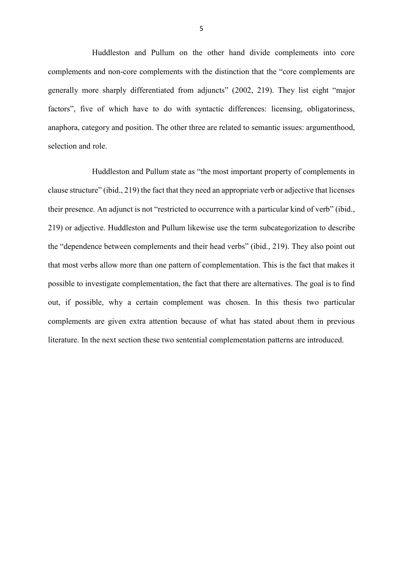Huddleston and Pullum on the other hand divide complements into core complements and non-core complements with the distinction that the "core complements are generally more sharply differentiated from adjuncts" (2002, 219). They list eight "major factors", five of which have to do with syntactic differences: licensing, obligatoriness, anaphora, category and position. The other three are related to semantic issues: argumenthood, selection and role.

Huddleston and Pullum state as "the most important property of complements in clause structure" (ibid., 219) the fact that they need an appropriate verb or adjective that licenses their presence. An adjunct is not "restricted to occurrence with a particular kind of verb" (ibid., 219) or adjective. Huddleston and Pullum likewise use the term subcategorization to describe the "dependence between complements and their head verbs" (ibid., 219). They also point out that most verbs allow more than one pattern of complementation. This is the fact that makes it possible to investigate complementation, the fact that there are alternatives. The goal is to find out, if possible, why a certain complement was chosen. In this thesis two particular complements are given extra attention because of what has stated about them in previous literature. In the next section these two sentential complementation patterns are introduced.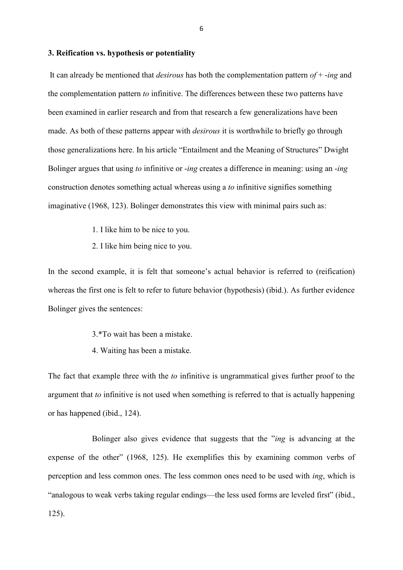#### <span id="page-8-0"></span>**3. Reification vs. hypothesis or potentiality**

It can already be mentioned that *desirous* has both the complementation pattern *of* + -*ing* and the complementation pattern *to* infinitive. The differences between these two patterns have been examined in earlier research and from that research a few generalizations have been made. As both of these patterns appear with *desirous* it is worthwhile to briefly go through those generalizations here. In his article "Entailment and the Meaning of Structures" Dwight Bolinger argues that using *to* infinitive or -*ing* creates a difference in meaning: using an -*ing*  construction denotes something actual whereas using a *to* infinitive signifies something imaginative (1968, 123). Bolinger demonstrates this view with minimal pairs such as:

- 1. I like him to be nice to you.
- 2. I like him being nice to you.

In the second example, it is felt that someone's actual behavior is referred to (reification) whereas the first one is felt to refer to future behavior (hypothesis) (ibid.). As further evidence Bolinger gives the sentences:

- 3.\*To wait has been a mistake.
- 4. Waiting has been a mistake.

The fact that example three with the *to* infinitive is ungrammatical gives further proof to the argument that *to* infinitive is not used when something is referred to that is actually happening or has happened (ibid., 124).

Bolinger also gives evidence that suggests that the "*ing* is advancing at the expense of the other" (1968, 125). He exemplifies this by examining common verbs of perception and less common ones. The less common ones need to be used with *ing*, which is "analogous to weak verbs taking regular endings—the less used forms are leveled first" (ibid., 125).

6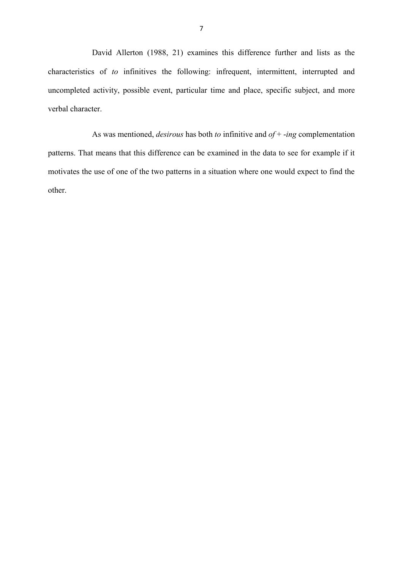David Allerton (1988, 21) examines this difference further and lists as the characteristics of *to* infinitives the following: infrequent, intermittent, interrupted and uncompleted activity, possible event, particular time and place, specific subject, and more verbal character.

As was mentioned, *desirous* has both *to* infinitive and *of* + -*ing* complementation patterns. That means that this difference can be examined in the data to see for example if it motivates the use of one of the two patterns in a situation where one would expect to find the other.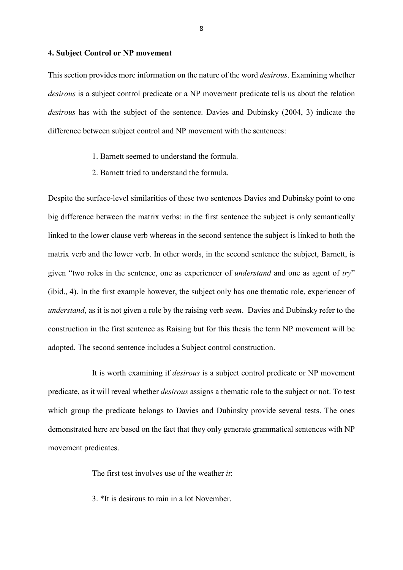#### <span id="page-10-0"></span>**4. Subject Control or NP movement**

This section provides more information on the nature of the word *desirous*. Examining whether *desirous* is a subject control predicate or a NP movement predicate tells us about the relation *desirous* has with the subject of the sentence. Davies and Dubinsky (2004, 3) indicate the difference between subject control and NP movement with the sentences:

- 1. Barnett seemed to understand the formula.
- 2. Barnett tried to understand the formula.

Despite the surface-level similarities of these two sentences Davies and Dubinsky point to one big difference between the matrix verbs: in the first sentence the subject is only semantically linked to the lower clause verb whereas in the second sentence the subject is linked to both the matrix verb and the lower verb. In other words, in the second sentence the subject, Barnett, is given "two roles in the sentence, one as experiencer of *understand* and one as agent of *try*" (ibid., 4). In the first example however, the subject only has one thematic role, experiencer of *understand*, as it is not given a role by the raising verb *seem*. Davies and Dubinsky refer to the construction in the first sentence as Raising but for this thesis the term NP movement will be adopted. The second sentence includes a Subject control construction.

It is worth examining if *desirous* is a subject control predicate or NP movement predicate, as it will reveal whether *desirous* assigns a thematic role to the subject or not. To test which group the predicate belongs to Davies and Dubinsky provide several tests. The ones demonstrated here are based on the fact that they only generate grammatical sentences with NP movement predicates.

The first test involves use of the weather *it*:

3. \*It is desirous to rain in a lot November.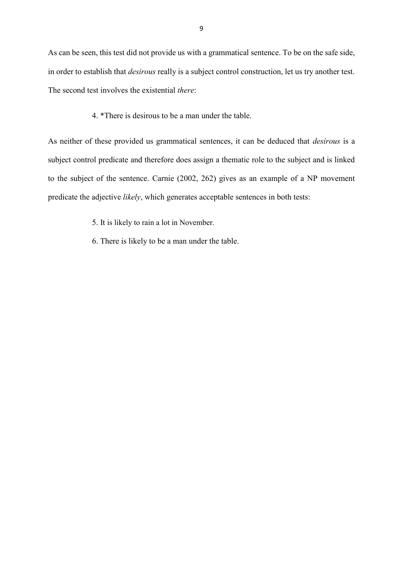As can be seen, this test did not provide us with a grammatical sentence. To be on the safe side, in order to establish that *desirous* really is a subject control construction, let us try another test. The second test involves the existential *there*:

4. \*There is desirous to be a man under the table.

As neither of these provided us grammatical sentences, it can be deduced that *desirous* is a subject control predicate and therefore does assign a thematic role to the subject and is linked to the subject of the sentence. Carnie (2002, 262) gives as an example of a NP movement predicate the adjective *likely*, which generates acceptable sentences in both tests:

- 5. It is likely to rain a lot in November.
- 6. There is likely to be a man under the table.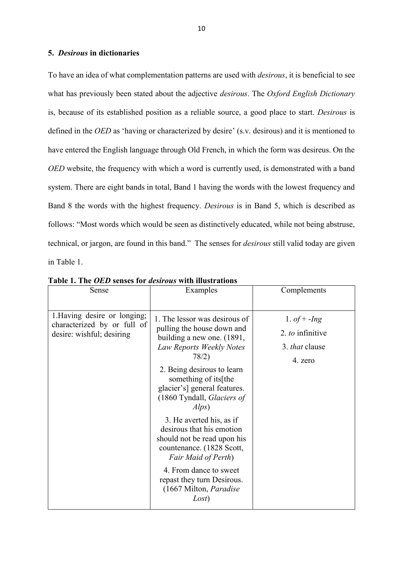#### <span id="page-12-0"></span>**5.** *Desirous* **in dictionaries**

To have an idea of what complementation patterns are used with *desirous*, it is beneficial to see what has previously been stated about the adjective *desirous*. The *Oxford English Dictionary*  is, because of its established position as a reliable source, a good place to start. *Desirous* is defined in the *OED* as 'having or characterized by desire' (s.v. desirous) and it is mentioned to have entered the English language through Old French, in which the form was desireus. On the *OED* website, the frequency with which a word is currently used, is demonstrated with a band system. There are eight bands in total, Band 1 having the words with the lowest frequency and Band 8 the words with the highest frequency. *Desirous* is in Band 5, which is described as follows: "Most words which would be seen as distinctively educated, while not being abstruse, technical, or jargon, are found in this band." The senses for *desirous* still valid today are given in Table 1.

| Sense                                                                                    | Examples                                                                                                                                                                                                                                                                                                                                                                                                 | Complements                                                     |
|------------------------------------------------------------------------------------------|----------------------------------------------------------------------------------------------------------------------------------------------------------------------------------------------------------------------------------------------------------------------------------------------------------------------------------------------------------------------------------------------------------|-----------------------------------------------------------------|
| 1. Having desire or longing;<br>characterized by or full of<br>desire: wishful; desiring | 1. The lessor was desirous of<br>pulling the house down and<br>building a new one. (1891,<br>Law Reports Weekly Notes<br>78/2)<br>2. Being desirous to learn<br>something of its [the<br>glacier's] general features.<br>(1860 Tyndall, Glaciers of<br>Alps)<br>3. He averted his, as if<br>desirous that his emotion<br>should not be read upon his<br>countenance. (1828 Scott,<br>Fair Maid of Perth) | 1. of $+$ -Ing<br>2. to infinitive<br>3. that clause<br>4. zero |
|                                                                                          | 4. From dance to sweet<br>repast they turn Desirous.<br>(1667 Milton, <i>Paradise</i><br>Lost)                                                                                                                                                                                                                                                                                                           |                                                                 |

**Table 1. The** *OED* **senses for** *desirous* **with illustrations**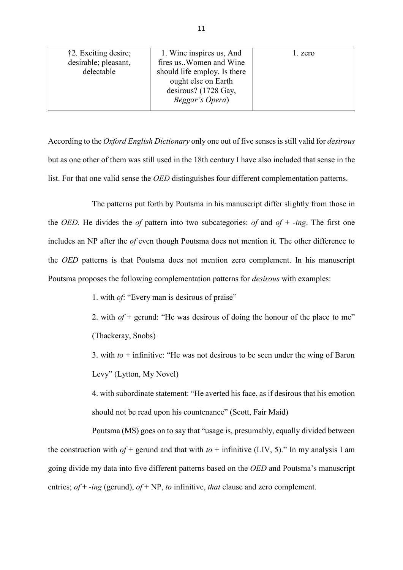| †2. Exciting desire;<br>desirable; pleasant,<br>delectable | 1. Wine inspires us, And<br>fires us. Women and Wine<br>should life employ. Is there<br>ought else on Earth<br>desirous? (1728 Gay, | 1. zero |
|------------------------------------------------------------|-------------------------------------------------------------------------------------------------------------------------------------|---------|
|                                                            | Beggar's Opera)                                                                                                                     |         |

According to the *Oxford English Dictionary* only one out of five senses is still valid for *desirous*  but as one other of them was still used in the 18th century I have also included that sense in the list. For that one valid sense the *OED* distinguishes four different complementation patterns.

The patterns put forth by Poutsma in his manuscript differ slightly from those in the *OED.* He divides the *of* pattern into two subcategories: *of* and *of* + -*ing*. The first one includes an NP after the *of* even though Poutsma does not mention it. The other difference to the *OED* patterns is that Poutsma does not mention zero complement. In his manuscript Poutsma proposes the following complementation patterns for *desirous* with examples:

1. with *of*: "Every man is desirous of praise"

2. with  $of$  + gerund: "He was desirous of doing the honour of the place to me" (Thackeray, Snobs)

3. with  $t_0$  + infinitive: "He was not desirous to be seen under the wing of Baron Levy" (Lytton, My Novel)

4. with subordinate statement: "He averted his face, as if desirous that his emotion should not be read upon his countenance" (Scott, Fair Maid)

Poutsma (MS) goes on to say that "usage is, presumably, equally divided between the construction with  $of$  + gerund and that with  $to$  + infinitive (LIV, 5)." In my analysis I am going divide my data into five different patterns based on the *OED* and Poutsma's manuscript entries; *of* + -*ing* (gerund), *of* + NP, *to* infinitive, *that* clause and zero complement.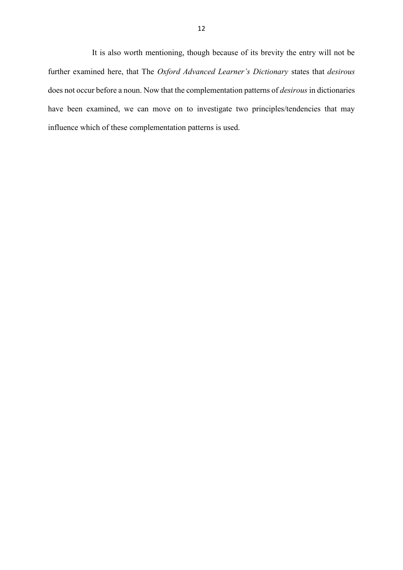It is also worth mentioning, though because of its brevity the entry will not be further examined here, that The *Oxford Advanced Learner's Dictionary* states that *desirous*  does not occur before a noun. Now that the complementation patterns of *desirous* in dictionaries have been examined, we can move on to investigate two principles/tendencies that may influence which of these complementation patterns is used.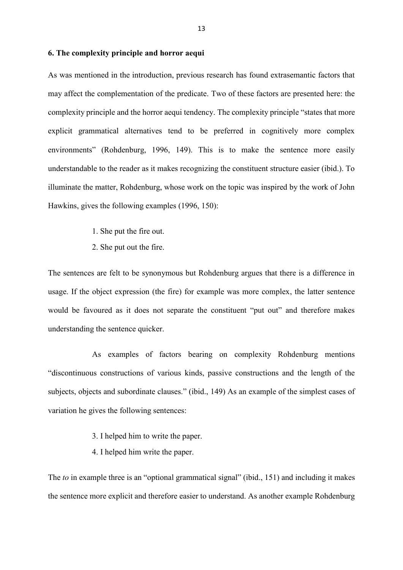#### <span id="page-15-0"></span>**6. The complexity principle and horror aequi**

As was mentioned in the introduction, previous research has found extrasemantic factors that may affect the complementation of the predicate. Two of these factors are presented here: the complexity principle and the horror aequi tendency. The complexity principle "states that more explicit grammatical alternatives tend to be preferred in cognitively more complex environments" (Rohdenburg, 1996, 149). This is to make the sentence more easily understandable to the reader as it makes recognizing the constituent structure easier (ibid.). To illuminate the matter, Rohdenburg, whose work on the topic was inspired by the work of John Hawkins, gives the following examples (1996, 150):

- 1. She put the fire out.
- 2. She put out the fire.

The sentences are felt to be synonymous but Rohdenburg argues that there is a difference in usage. If the object expression (the fire) for example was more complex, the latter sentence would be favoured as it does not separate the constituent "put out" and therefore makes understanding the sentence quicker.

As examples of factors bearing on complexity Rohdenburg mentions "discontinuous constructions of various kinds, passive constructions and the length of the subjects, objects and subordinate clauses." (ibid., 149) As an example of the simplest cases of variation he gives the following sentences:

- 3. I helped him to write the paper.
- 4. I helped him write the paper.

The *to* in example three is an "optional grammatical signal" (ibid., 151) and including it makes the sentence more explicit and therefore easier to understand. As another example Rohdenburg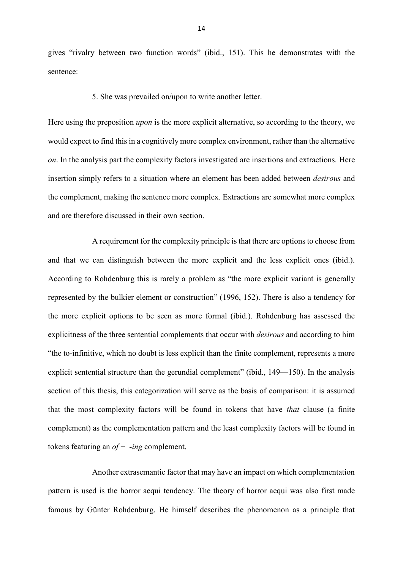gives "rivalry between two function words" (ibid., 151). This he demonstrates with the sentence:

#### 5. She was prevailed on/upon to write another letter.

Here using the preposition *upon* is the more explicit alternative, so according to the theory, we would expect to find this in a cognitively more complex environment, rather than the alternative *on*. In the analysis part the complexity factors investigated are insertions and extractions. Here insertion simply refers to a situation where an element has been added between *desirous* and the complement, making the sentence more complex. Extractions are somewhat more complex and are therefore discussed in their own section.

A requirement for the complexity principle is that there are options to choose from and that we can distinguish between the more explicit and the less explicit ones (ibid.). According to Rohdenburg this is rarely a problem as "the more explicit variant is generally represented by the bulkier element or construction" (1996, 152). There is also a tendency for the more explicit options to be seen as more formal (ibid.). Rohdenburg has assessed the explicitness of the three sentential complements that occur with *desirous* and according to him "the to-infinitive, which no doubt is less explicit than the finite complement, represents a more explicit sentential structure than the gerundial complement" (ibid., 149—150). In the analysis section of this thesis, this categorization will serve as the basis of comparison: it is assumed that the most complexity factors will be found in tokens that have *that* clause (a finite complement) as the complementation pattern and the least complexity factors will be found in tokens featuring an *of* + -*ing* complement.

Another extrasemantic factor that may have an impact on which complementation pattern is used is the horror aequi tendency. The theory of horror aequi was also first made famous by Günter Rohdenburg. He himself describes the phenomenon as a principle that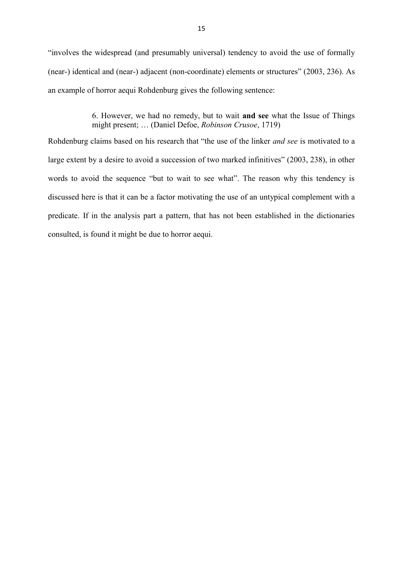"involves the widespread (and presumably universal) tendency to avoid the use of formally (near-) identical and (near-) adjacent (non-coordinate) elements or structures" (2003, 236). As an example of horror aequi Rohdenburg gives the following sentence:

> 6. However, we had no remedy, but to wait **and see** what the Issue of Things might present; … (Daniel Defoe, *Robinson Crusoe*, 1719)

Rohdenburg claims based on his research that "the use of the linker *and see* is motivated to a large extent by a desire to avoid a succession of two marked infinitives" (2003, 238), in other words to avoid the sequence "but to wait to see what". The reason why this tendency is discussed here is that it can be a factor motivating the use of an untypical complement with a predicate. If in the analysis part a pattern, that has not been established in the dictionaries consulted, is found it might be due to horror aequi.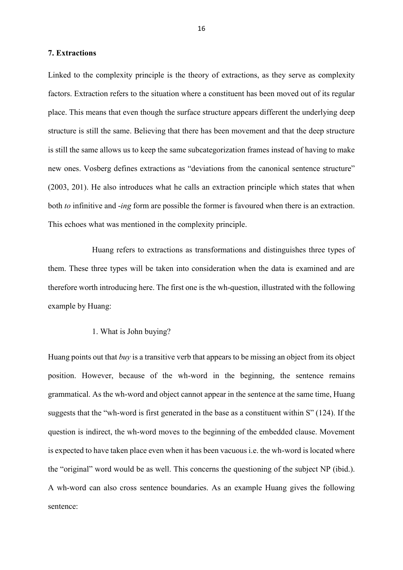#### <span id="page-18-0"></span>**7. Extractions**

Linked to the complexity principle is the theory of extractions, as they serve as complexity factors. Extraction refers to the situation where a constituent has been moved out of its regular place. This means that even though the surface structure appears different the underlying deep structure is still the same. Believing that there has been movement and that the deep structure is still the same allows us to keep the same subcategorization frames instead of having to make new ones. Vosberg defines extractions as "deviations from the canonical sentence structure" (2003, 201). He also introduces what he calls an extraction principle which states that when both *to* infinitive and -*ing* form are possible the former is favoured when there is an extraction. This echoes what was mentioned in the complexity principle.

Huang refers to extractions as transformations and distinguishes three types of them. These three types will be taken into consideration when the data is examined and are therefore worth introducing here. The first one is the wh-question, illustrated with the following example by Huang:

#### 1. What is John buying?

Huang points out that *buy* is a transitive verb that appears to be missing an object from its object position. However, because of the wh-word in the beginning, the sentence remains grammatical. As the wh-word and object cannot appear in the sentence at the same time, Huang suggests that the "wh-word is first generated in the base as a constituent within S" (124). If the question is indirect, the wh-word moves to the beginning of the embedded clause. Movement is expected to have taken place even when it has been vacuous i.e. the wh-word is located where the "original" word would be as well. This concerns the questioning of the subject NP (ibid.). A wh-word can also cross sentence boundaries. As an example Huang gives the following sentence: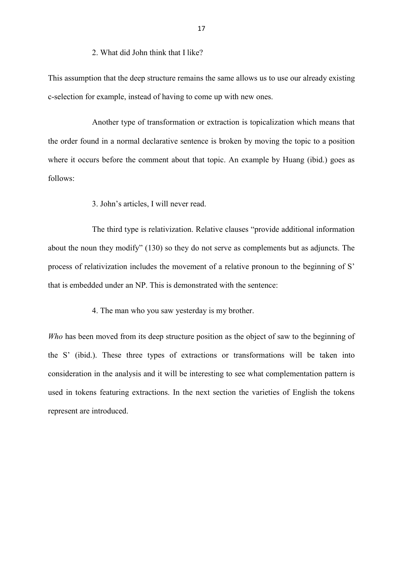#### 2. What did John think that I like?

This assumption that the deep structure remains the same allows us to use our already existing c-selection for example, instead of having to come up with new ones.

Another type of transformation or extraction is topicalization which means that the order found in a normal declarative sentence is broken by moving the topic to a position where it occurs before the comment about that topic. An example by Huang (ibid.) goes as follows:

3. John's articles, I will never read.

The third type is relativization. Relative clauses "provide additional information about the noun they modify" (130) so they do not serve as complements but as adjuncts. The process of relativization includes the movement of a relative pronoun to the beginning of S' that is embedded under an NP. This is demonstrated with the sentence:

4. The man who you saw yesterday is my brother.

*Who* has been moved from its deep structure position as the object of saw to the beginning of the S' (ibid.). These three types of extractions or transformations will be taken into consideration in the analysis and it will be interesting to see what complementation pattern is used in tokens featuring extractions. In the next section the varieties of English the tokens represent are introduced.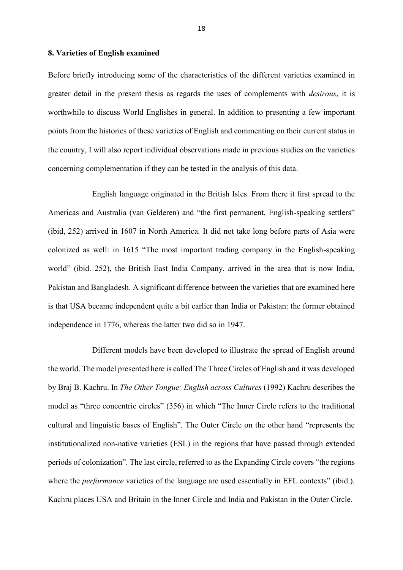#### <span id="page-20-0"></span>**8. Varieties of English examined**

Before briefly introducing some of the characteristics of the different varieties examined in greater detail in the present thesis as regards the uses of complements with *desirous*, it is worthwhile to discuss World Englishes in general. In addition to presenting a few important points from the histories of these varieties of English and commenting on their current status in the country, I will also report individual observations made in previous studies on the varieties concerning complementation if they can be tested in the analysis of this data.

English language originated in the British Isles. From there it first spread to the Americas and Australia (van Gelderen) and "the first permanent, English-speaking settlers" (ibid, 252) arrived in 1607 in North America. It did not take long before parts of Asia were colonized as well: in 1615 "The most important trading company in the English-speaking world" (ibid. 252), the British East India Company, arrived in the area that is now India, Pakistan and Bangladesh. A significant difference between the varieties that are examined here is that USA became independent quite a bit earlier than India or Pakistan: the former obtained independence in 1776, whereas the latter two did so in 1947.

Different models have been developed to illustrate the spread of English around the world. The model presented here is called The Three Circles of English and it was developed by Braj B. Kachru. In *The Other Tongue: English across Cultures* (1992) Kachru describes the model as "three concentric circles" (356) in which "The Inner Circle refers to the traditional cultural and linguistic bases of English". The Outer Circle on the other hand "represents the institutionalized non-native varieties (ESL) in the regions that have passed through extended periods of colonization". The last circle, referred to as the Expanding Circle covers "the regions where the *performance* varieties of the language are used essentially in EFL contexts" (ibid.). Kachru places USA and Britain in the Inner Circle and India and Pakistan in the Outer Circle.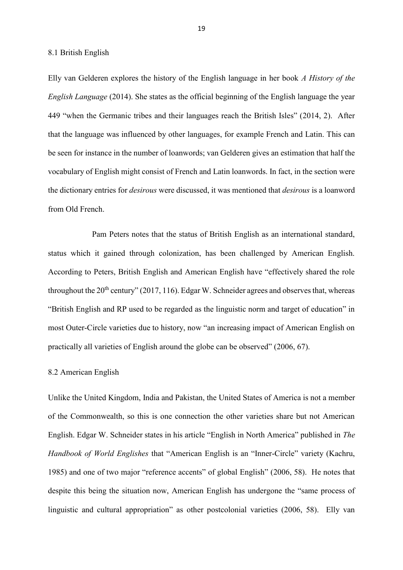8.1 British English

Elly van Gelderen explores the history of the English language in her book *A History of the English Language* (2014). She states as the official beginning of the English language the year 449 "when the Germanic tribes and their languages reach the British Isles" (2014, 2). After that the language was influenced by other languages, for example French and Latin. This can be seen for instance in the number of loanwords; van Gelderen gives an estimation that half the vocabulary of English might consist of French and Latin loanwords. In fact, in the section were the dictionary entries for *desirous* were discussed, it was mentioned that *desirous* is a loanword from Old French.

Pam Peters notes that the status of British English as an international standard, status which it gained through colonization, has been challenged by American English. According to Peters, British English and American English have "effectively shared the role throughout the  $20<sup>th</sup>$  century" (2017, 116). Edgar W. Schneider agrees and observes that, whereas "British English and RP used to be regarded as the linguistic norm and target of education" in most Outer-Circle varieties due to history, now "an increasing impact of American English on practically all varieties of English around the globe can be observed" (2006, 67).

#### 8.2 American English

Unlike the United Kingdom, India and Pakistan, the United States of America is not a member of the Commonwealth, so this is one connection the other varieties share but not American English. Edgar W. Schneider states in his article "English in North America" published in *The Handbook of World Englishes* that "American English is an "Inner-Circle" variety (Kachru, 1985) and one of two major "reference accents" of global English" (2006, 58). He notes that despite this being the situation now, American English has undergone the "same process of linguistic and cultural appropriation" as other postcolonial varieties (2006, 58). Elly van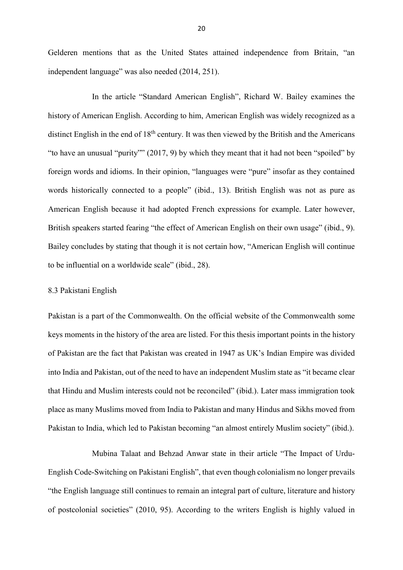Gelderen mentions that as the United States attained independence from Britain, "an independent language" was also needed (2014, 251).

In the article "Standard American English", Richard W. Bailey examines the history of American English. According to him, American English was widely recognized as a distinct English in the end of 18<sup>th</sup> century. It was then viewed by the British and the Americans "to have an unusual "purity"" (2017, 9) by which they meant that it had not been "spoiled" by foreign words and idioms. In their opinion, "languages were "pure" insofar as they contained words historically connected to a people" (ibid., 13). British English was not as pure as American English because it had adopted French expressions for example. Later however, British speakers started fearing "the effect of American English on their own usage" (ibid., 9). Bailey concludes by stating that though it is not certain how, "American English will continue to be influential on a worldwide scale" (ibid., 28).

#### 8.3 Pakistani English

Pakistan is a part of the Commonwealth. On the official website of the Commonwealth some keys moments in the history of the area are listed. For this thesis important points in the history of Pakistan are the fact that Pakistan was created in 1947 as UK's Indian Empire was divided into India and Pakistan, out of the need to have an independent Muslim state as "it became clear that Hindu and Muslim interests could not be reconciled" (ibid.). Later mass immigration took place as many Muslims moved from India to Pakistan and many Hindus and Sikhs moved from Pakistan to India, which led to Pakistan becoming "an almost entirely Muslim society" (ibid.).

Mubina Talaat and Behzad Anwar state in their article "The Impact of Urdu-English Code-Switching on Pakistani English", that even though colonialism no longer prevails "the English language still continues to remain an integral part of culture, literature and history of postcolonial societies" (2010, 95). According to the writers English is highly valued in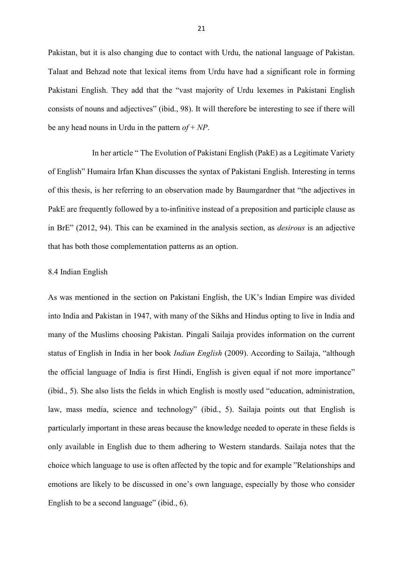Pakistan, but it is also changing due to contact with Urdu, the national language of Pakistan. Talaat and Behzad note that lexical items from Urdu have had a significant role in forming Pakistani English. They add that the "vast majority of Urdu lexemes in Pakistani English consists of nouns and adjectives" (ibid., 98). It will therefore be interesting to see if there will be any head nouns in Urdu in the pattern *of* + *NP*.

In her article " The Evolution of Pakistani English (PakE) as a Legitimate Variety of English" Humaira Irfan Khan discusses the syntax of Pakistani English. Interesting in terms of this thesis, is her referring to an observation made by Baumgardner that "the adjectives in PakE are frequently followed by a to-infinitive instead of a preposition and participle clause as in BrE" (2012, 94). This can be examined in the analysis section, as *desirous* is an adjective that has both those complementation patterns as an option.

#### 8.4 Indian English

As was mentioned in the section on Pakistani English, the UK's Indian Empire was divided into India and Pakistan in 1947, with many of the Sikhs and Hindus opting to live in India and many of the Muslims choosing Pakistan. Pingali Sailaja provides information on the current status of English in India in her book *Indian English* (2009). According to Sailaja, "although the official language of India is first Hindi, English is given equal if not more importance" (ibid., 5). She also lists the fields in which English is mostly used "education, administration, law, mass media, science and technology" (ibid., 5). Sailaja points out that English is particularly important in these areas because the knowledge needed to operate in these fields is only available in English due to them adhering to Western standards. Sailaja notes that the choice which language to use is often affected by the topic and for example "Relationships and emotions are likely to be discussed in one's own language, especially by those who consider English to be a second language" (ibid., 6).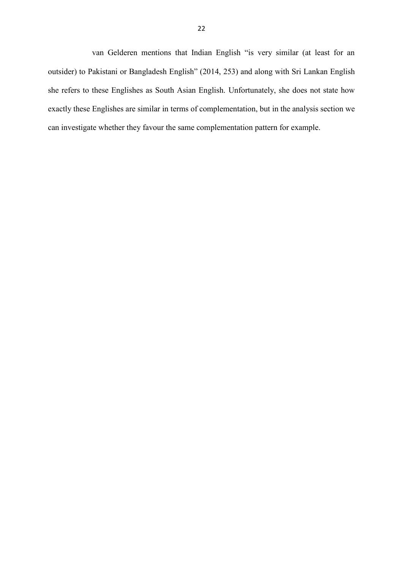van Gelderen mentions that Indian English "is very similar (at least for an outsider) to Pakistani or Bangladesh English" (2014, 253) and along with Sri Lankan English she refers to these Englishes as South Asian English. Unfortunately, she does not state how exactly these Englishes are similar in terms of complementation, but in the analysis section we can investigate whether they favour the same complementation pattern for example.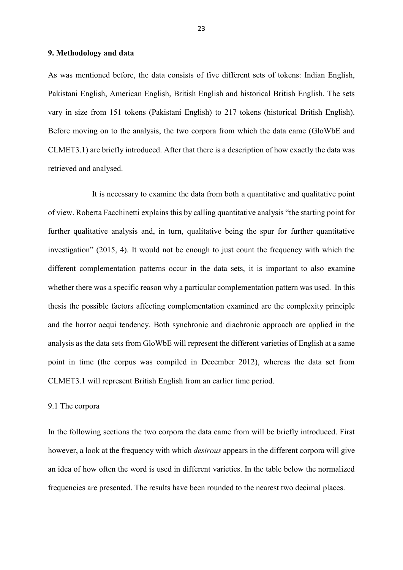#### <span id="page-25-0"></span>**9. Methodology and data**

As was mentioned before, the data consists of five different sets of tokens: Indian English, Pakistani English, American English, British English and historical British English. The sets vary in size from 151 tokens (Pakistani English) to 217 tokens (historical British English). Before moving on to the analysis, the two corpora from which the data came (GloWbE and CLMET3.1) are briefly introduced. After that there is a description of how exactly the data was retrieved and analysed.

It is necessary to examine the data from both a quantitative and qualitative point of view. Roberta Facchinetti explains this by calling quantitative analysis "the starting point for further qualitative analysis and, in turn, qualitative being the spur for further quantitative investigation" (2015, 4). It would not be enough to just count the frequency with which the different complementation patterns occur in the data sets, it is important to also examine whether there was a specific reason why a particular complementation pattern was used. In this thesis the possible factors affecting complementation examined are the complexity principle and the horror aequi tendency. Both synchronic and diachronic approach are applied in the analysis as the data sets from GloWbE will represent the different varieties of English at a same point in time (the corpus was compiled in December 2012), whereas the data set from CLMET3.1 will represent British English from an earlier time period.

#### 9.1 The corpora

In the following sections the two corpora the data came from will be briefly introduced. First however, a look at the frequency with which *desirous* appears in the different corpora will give an idea of how often the word is used in different varieties. In the table below the normalized frequencies are presented. The results have been rounded to the nearest two decimal places.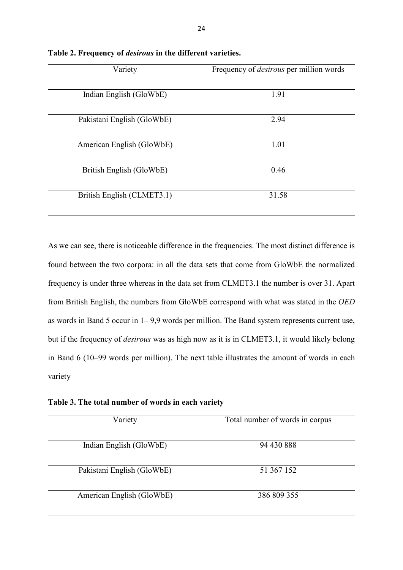| Variety                    | Frequency of <i>desirous</i> per million words |
|----------------------------|------------------------------------------------|
| Indian English (GloWbE)    | 1.91                                           |
| Pakistani English (GloWbE) | 2.94                                           |
| American English (GloWbE)  | 1.01                                           |
| British English (GloWbE)   | 0.46                                           |
| British English (CLMET3.1) | 31.58                                          |

**Table 2. Frequency of** *desirous* **in the different varieties.**

As we can see, there is noticeable difference in the frequencies. The most distinct difference is found between the two corpora: in all the data sets that come from GloWbE the normalized frequency is under three whereas in the data set from CLMET3.1 the number is over 31. Apart from British English, the numbers from GloWbE correspond with what was stated in the *OED* as words in Band 5 occur in 1– 9,9 words per million. The Band system represents current use, but if the frequency of *desirous* was as high now as it is in CLMET3.1, it would likely belong in Band 6 (10–99 words per million). The next table illustrates the amount of words in each variety

**Table 3. The total number of words in each variety**

| Variety                    | Total number of words in corpus |
|----------------------------|---------------------------------|
| Indian English (GloWbE)    | 94 430 888                      |
| Pakistani English (GloWbE) | 51 367 152                      |
| American English (GloWbE)  | 386 809 355                     |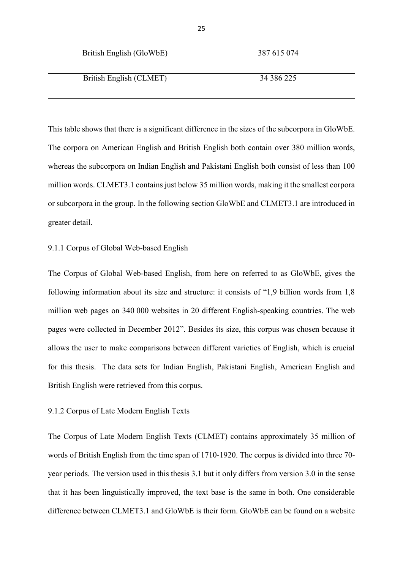| British English (GloWbE) | 387 615 074 |
|--------------------------|-------------|
| British English (CLMET)  | 34 386 225  |

This table shows that there is a significant difference in the sizes of the subcorpora in GloWbE. The corpora on American English and British English both contain over 380 million words, whereas the subcorpora on Indian English and Pakistani English both consist of less than 100 million words. CLMET3.1 contains just below 35 million words, making it the smallest corpora or subcorpora in the group. In the following section GloWbE and CLMET3.1 are introduced in greater detail.

#### 9.1.1 Corpus of Global Web-based English

The Corpus of Global Web-based English, from here on referred to as GloWbE, gives the following information about its size and structure: it consists of "1,9 billion words from 1,8 million web pages on 340 000 websites in 20 different English-speaking countries. The web pages were collected in December 2012". Besides its size, this corpus was chosen because it allows the user to make comparisons between different varieties of English, which is crucial for this thesis. The data sets for Indian English, Pakistani English, American English and British English were retrieved from this corpus.

#### 9.1.2 Corpus of Late Modern English Texts

The Corpus of Late Modern English Texts (CLMET) contains approximately 35 million of words of British English from the time span of 1710-1920. The corpus is divided into three 70 year periods. The version used in this thesis 3.1 but it only differs from version 3.0 in the sense that it has been linguistically improved, the text base is the same in both. One considerable difference between CLMET3.1 and GloWbE is their form. GloWbE can be found on a website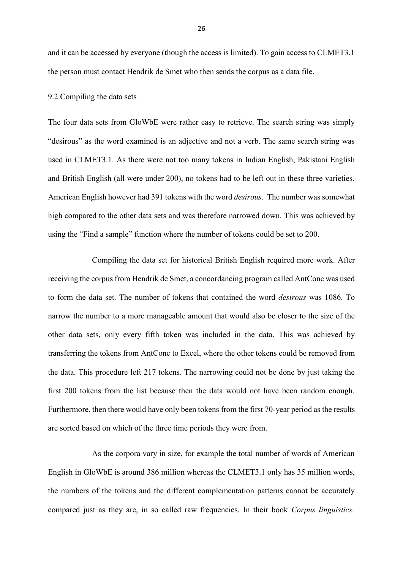and it can be accessed by everyone (though the access is limited). To gain access to CLMET3.1 the person must contact Hendrik de Smet who then sends the corpus as a data file.

#### 9.2 Compiling the data sets

The four data sets from GloWbE were rather easy to retrieve. The search string was simply "desirous" as the word examined is an adjective and not a verb. The same search string was used in CLMET3.1. As there were not too many tokens in Indian English, Pakistani English and British English (all were under 200), no tokens had to be left out in these three varieties. American English however had 391 tokens with the word *desirous*. The number was somewhat high compared to the other data sets and was therefore narrowed down. This was achieved by using the "Find a sample" function where the number of tokens could be set to 200.

Compiling the data set for historical British English required more work. After receiving the corpus from Hendrik de Smet, a concordancing program called AntConc was used to form the data set. The number of tokens that contained the word *desirous* was 1086. To narrow the number to a more manageable amount that would also be closer to the size of the other data sets, only every fifth token was included in the data. This was achieved by transferring the tokens from AntConc to Excel, where the other tokens could be removed from the data. This procedure left 217 tokens. The narrowing could not be done by just taking the first 200 tokens from the list because then the data would not have been random enough. Furthermore, then there would have only been tokens from the first 70-year period as the results are sorted based on which of the three time periods they were from.

As the corpora vary in size, for example the total number of words of American English in GloWbE is around 386 million whereas the CLMET3.1 only has 35 million words, the numbers of the tokens and the different complementation patterns cannot be accurately compared just as they are, in so called raw frequencies. In their book *Corpus linguistics:*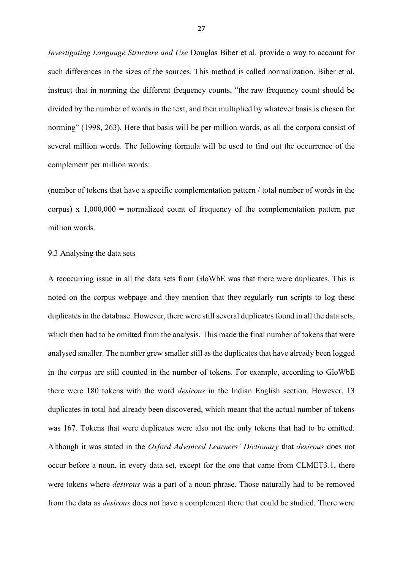*Investigating Language Structure and Use* Douglas Biber et al. provide a way to account for such differences in the sizes of the sources. This method is called normalization. Biber et al. instruct that in norming the different frequency counts, "the raw frequency count should be divided by the number of words in the text, and then multiplied by whatever basis is chosen for norming" (1998, 263). Here that basis will be per million words, as all the corpora consist of several million words. The following formula will be used to find out the occurrence of the complement per million words:

(number of tokens that have a specific complementation pattern / total number of words in the corpus) x  $1,000,000$  = normalized count of frequency of the complementation pattern per million words.

#### 9.3 Analysing the data sets

A reoccurring issue in all the data sets from GloWbE was that there were duplicates. This is noted on the corpus webpage and they mention that they regularly run scripts to log these duplicates in the database. However, there were still several duplicates found in all the data sets, which then had to be omitted from the analysis. This made the final number of tokens that were analysed smaller. The number grew smaller still as the duplicates that have already been logged in the corpus are still counted in the number of tokens. For example, according to GloWbE there were 180 tokens with the word *desirous* in the Indian English section. However, 13 duplicates in total had already been discovered, which meant that the actual number of tokens was 167. Tokens that were duplicates were also not the only tokens that had to be omitted. Although it was stated in the *Oxford Advanced Learners' Dictionary* that *desirous* does not occur before a noun, in every data set, except for the one that came from CLMET3.1, there were tokens where *desirous* was a part of a noun phrase. Those naturally had to be removed from the data as *desirous* does not have a complement there that could be studied. There were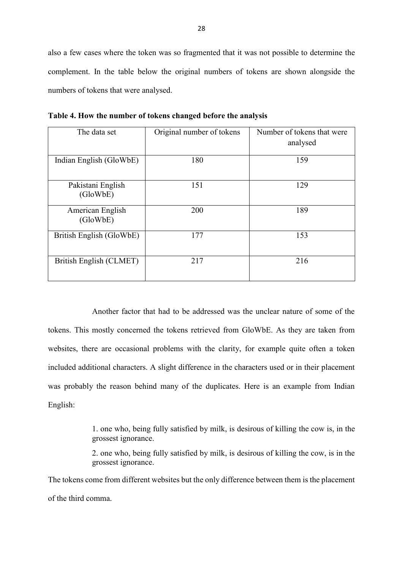also a few cases where the token was so fragmented that it was not possible to determine the complement. In the table below the original numbers of tokens are shown alongside the numbers of tokens that were analysed.

| The data set                  | Original number of tokens | Number of tokens that were<br>analysed |
|-------------------------------|---------------------------|----------------------------------------|
| Indian English (GloWbE)       | 180                       | 159                                    |
| Pakistani English<br>(GloWbE) | 151                       | 129                                    |
| American English<br>(GloWbE)  | 200                       | 189                                    |
| British English (GloWbE)      | 177                       | 153                                    |
| British English (CLMET)       | 217                       | 216                                    |

**Table 4. How the number of tokens changed before the analysis**

Another factor that had to be addressed was the unclear nature of some of the tokens. This mostly concerned the tokens retrieved from GloWbE. As they are taken from websites, there are occasional problems with the clarity, for example quite often a token included additional characters. A slight difference in the characters used or in their placement was probably the reason behind many of the duplicates. Here is an example from Indian English:

> 1. one who, being fully satisfied by milk, is desirous of killing the cow is, in the grossest ignorance.

> 2. one who, being fully satisfied by milk, is desirous of killing the cow, is in the grossest ignorance.

The tokens come from different websites but the only difference between them is the placement of the third comma.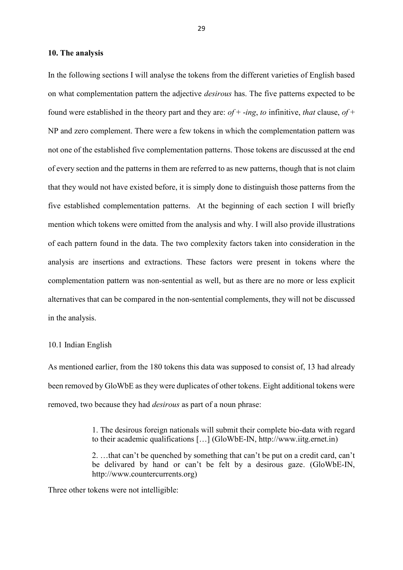#### <span id="page-31-0"></span>**10. The analysis**

In the following sections I will analyse the tokens from the different varieties of English based on what complementation pattern the adjective *desirous* has. The five patterns expected to be found were established in the theory part and they are: *of* + -*ing*, *to* infinitive, *that* clause, *of* + NP and zero complement. There were a few tokens in which the complementation pattern was not one of the established five complementation patterns. Those tokens are discussed at the end of every section and the patterns in them are referred to as new patterns, though that is not claim that they would not have existed before, it is simply done to distinguish those patterns from the five established complementation patterns. At the beginning of each section I will briefly mention which tokens were omitted from the analysis and why. I will also provide illustrations of each pattern found in the data. The two complexity factors taken into consideration in the analysis are insertions and extractions. These factors were present in tokens where the complementation pattern was non-sentential as well, but as there are no more or less explicit alternatives that can be compared in the non-sentential complements, they will not be discussed in the analysis.

#### <span id="page-31-1"></span>10.1 Indian English

As mentioned earlier, from the 180 tokens this data was supposed to consist of, 13 had already been removed by GloWbE as they were duplicates of other tokens. Eight additional tokens were removed, two because they had *desirous* as part of a noun phrase:

> 1. The desirous foreign nationals will submit their complete bio-data with regard to their academic qualifications […] (GloWbE-IN, http://www.iitg.ernet.in)

> 2. …that can't be quenched by something that can't be put on a credit card, can't be delivared by hand or can't be felt by a desirous gaze. (GloWbE-IN, http://www.countercurrents.org)

Three other tokens were not intelligible: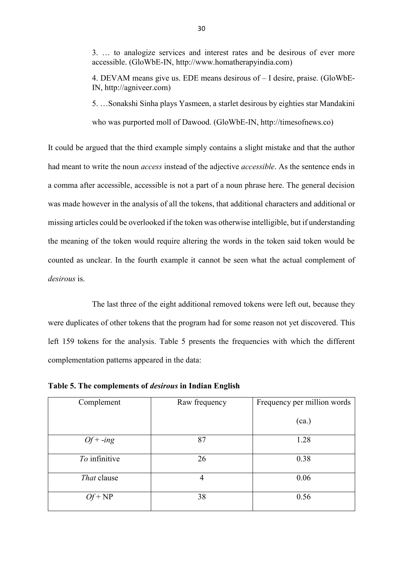3. … to analogize services and interest rates and be desirous of ever more accessible. (GloWbE-IN, http://www.homatherapyindia.com)

4. DEVAM means give us. EDE means desirous of – I desire, praise. (GloWbE-IN, http://agniveer.com)

5. …Sonakshi Sinha plays Yasmeen, a starlet desirous by eighties star Mandakini

who was purported moll of Dawood. (GloWbE-IN, http://timesofnews.co)

It could be argued that the third example simply contains a slight mistake and that the author had meant to write the noun *access* instead of the adjective *accessible*. As the sentence ends in a comma after accessible, accessible is not a part of a noun phrase here. The general decision was made however in the analysis of all the tokens, that additional characters and additional or missing articles could be overlooked if the token was otherwise intelligible, but if understanding the meaning of the token would require altering the words in the token said token would be counted as unclear. In the fourth example it cannot be seen what the actual complement of *desirous* is.

The last three of the eight additional removed tokens were left out, because they were duplicates of other tokens that the program had for some reason not yet discovered. This left 159 tokens for the analysis. Table 5 presents the frequencies with which the different complementation patterns appeared in the data:

| Complement    | Raw frequency | Frequency per million words |
|---------------|---------------|-----------------------------|
|               |               | (ca.)                       |
| $Of + -ing$   | 87            | 1.28                        |
| To infinitive | 26            | 0.38                        |
| That clause   | 4             | 0.06                        |
| $Qf + NP$     | 38            | 0.56                        |

**Table 5. The complements of** *desirous* **in Indian English**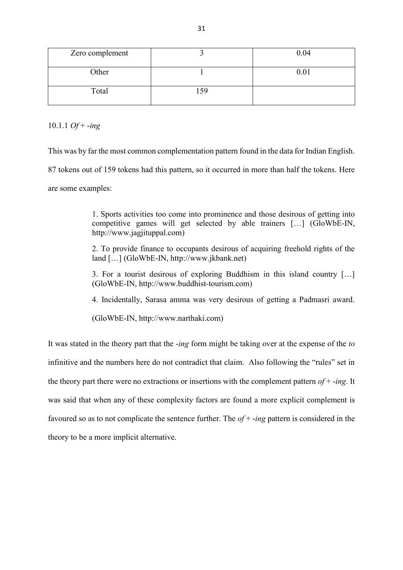| Zero complement |    | 0.04 |
|-----------------|----|------|
| Other           |    | 0.01 |
| Total           | 50 |      |

10.1.1 *Of* + -*ing*

This was by far the most common complementation pattern found in the data for Indian English. 87 tokens out of 159 tokens had this pattern, so it occurred in more than half the tokens. Here

are some examples:

1. Sports activities too come into prominence and those desirous of getting into competitive games will get selected by able trainers […] (GloWbE-IN, http://www.jagjituppal.com)

2. To provide finance to occupants desirous of acquiring freehold rights of the land […] (GloWbE-IN, http://www.jkbank.net)

3. For a tourist desirous of exploring Buddhism in this island country […] (GloWbE-IN, http://www.buddhist-tourism.com)

4. Incidentally, Sarasa amma was very desirous of getting a Padmasri award.

(GloWbE-IN, http://www.narthaki.com)

It was stated in the theory part that the -*ing* form might be taking over at the expense of the *to* infinitive and the numbers here do not contradict that claim. Also following the "rules" set in the theory part there were no extractions or insertions with the complement pattern *of* + -*ing*. It was said that when any of these complexity factors are found a more explicit complement is favoured so as to not complicate the sentence further. The *of* + -*ing* pattern is considered in the theory to be a more implicit alternative.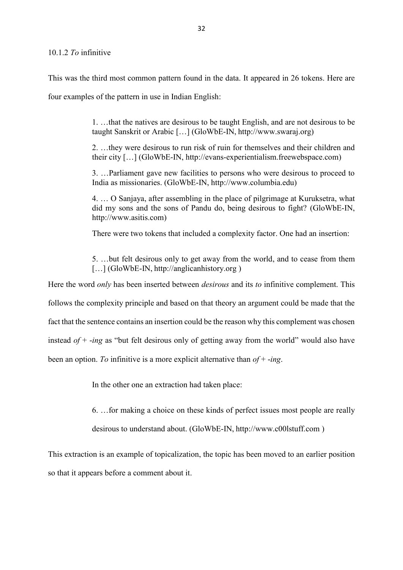#### 10.1.2 *To* infinitive

This was the third most common pattern found in the data. It appeared in 26 tokens. Here are four examples of the pattern in use in Indian English:

> 1. …that the natives are desirous to be taught English, and are not desirous to be taught Sanskrit or Arabic […] (GloWbE-IN, http://www.swaraj.org)

> 2. …they were desirous to run risk of ruin for themselves and their children and their city […] (GloWbE-IN, http://evans-experientialism.freewebspace.com)

> 3. …Parliament gave new facilities to persons who were desirous to proceed to India as missionaries. (GloWbE-IN, http://www.columbia.edu)

> 4. … O Sanjaya, after assembling in the place of pilgrimage at Kuruksetra, what did my sons and the sons of Pandu do, being desirous to fight? (GloWbE-IN, http://www.asitis.com)

There were two tokens that included a complexity factor. One had an insertion:

5. …but felt desirous only to get away from the world, and to cease from them [...] (GloWbE-IN, http://anglicanhistory.org)

Here the word *only* has been inserted between *desirous* and its *to* infinitive complement. This follows the complexity principle and based on that theory an argument could be made that the fact that the sentence contains an insertion could be the reason why this complement was chosen instead *of* + -*ing* as "but felt desirous only of getting away from the world" would also have been an option. *To* infinitive is a more explicit alternative than *of* + -*ing*.

In the other one an extraction had taken place:

6. …for making a choice on these kinds of perfect issues most people are really

desirous to understand about. (GloWbE-IN, http://www.c00lstuff.com )

This extraction is an example of topicalization, the topic has been moved to an earlier position so that it appears before a comment about it.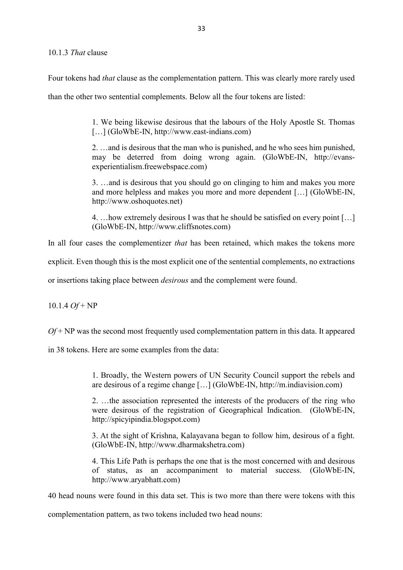Four tokens had *that* clause as the complementation pattern. This was clearly more rarely used

than the other two sentential complements. Below all the four tokens are listed:

1. We being likewise desirous that the labours of the Holy Apostle St. Thomas [...] (GloWbE-IN, http://www.east-indians.com)

2. …and is desirous that the man who is punished, and he who sees him punished, may be deterred from doing wrong again. (GloWbE-IN, http://evansexperientialism.freewebspace.com)

3. …and is desirous that you should go on clinging to him and makes you more and more helpless and makes you more and more dependent […] (GloWbE-IN, http://www.oshoquotes.net)

4. …how extremely desirous I was that he should be satisfied on every point […] (GloWbE-IN, http://www.cliffsnotes.com)

In all four cases the complementizer *that* has been retained, which makes the tokens more

explicit. Even though this is the most explicit one of the sentential complements, no extractions

or insertions taking place between *desirous* and the complement were found.

10.1.4 *Of* + NP

*Of* + NP was the second most frequently used complementation pattern in this data. It appeared

in 38 tokens. Here are some examples from the data:

1. Broadly, the Western powers of UN Security Council support the rebels and are desirous of a regime change […] (GloWbE-IN, http://m.indiavision.com)

2. …the association represented the interests of the producers of the ring who were desirous of the registration of Geographical Indication. (GloWbE-IN, http://spicyipindia.blogspot.com)

3. At the sight of Krishna, Kalayavana began to follow him, desirous of a fight. (GloWbE-IN, http://www.dharmakshetra.com)

4. This Life Path is perhaps the one that is the most concerned with and desirous of status, as an accompaniment to material success. (GloWbE-IN, http://www.aryabhatt.com)

40 head nouns were found in this data set. This is two more than there were tokens with this

complementation pattern, as two tokens included two head nouns: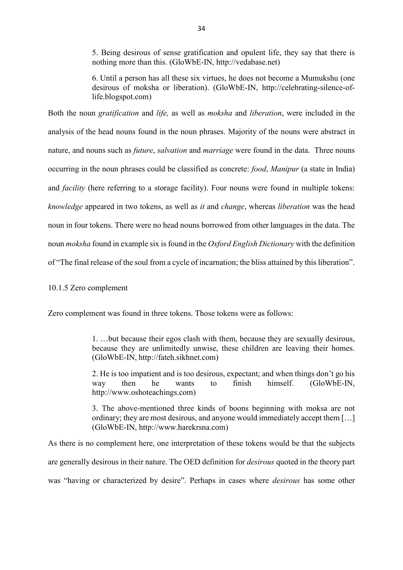5. Being desirous of sense gratification and opulent life, they say that there is nothing more than this. (GloWbE-IN, http://vedabase.net)

6. Until a person has all these six virtues, he does not become a Mumukshu (one desirous of moksha or liberation). (GloWbE-IN, http://celebrating-silence-oflife.blogspot.com)

Both the noun *gratification* and *life,* as well as *moksha* and *liberation*, were included in the analysis of the head nouns found in the noun phrases. Majority of the nouns were abstract in nature, and nouns such as *future*, *salvation* and *marriage* were found in the data. Three nouns occurring in the noun phrases could be classified as concrete: *food*, *Manipur* (a state in India) and *facility* (here referring to a storage facility). Four nouns were found in multiple tokens: *knowledge* appeared in two tokens, as well as *it* and *change*, whereas *liberation* was the head noun in four tokens. There were no head nouns borrowed from other languages in the data. The noun *moksha* found in example six is found in the *Oxford English Dictionary* with the definition of "The final release of the soul from a cycle of incarnation; the bliss attained by this liberation".

### 10.1.5 Zero complement

Zero complement was found in three tokens. Those tokens were as follows:

1. …but because their egos clash with them, because they are sexually desirous, because they are unlimitedly unwise, these children are leaving their homes. (GloWbE-IN, http://fateh.sikhnet.com)

2. He is too impatient and is too desirous, expectant; and when things don't go his way then he wants to finish himself. (GloWbE-IN, http://www.oshoteachings.com)

3. The above-mentioned three kinds of boons beginning with moksa are not ordinary; they are most desirous, and anyone would immediately accept them […] (GloWbE-IN, http://www.harekrsna.com)

As there is no complement here, one interpretation of these tokens would be that the subjects are generally desirous in their nature. The OED definition for *desirous* quoted in the theory part was "having or characterized by desire". Perhaps in cases where *desirous* has some other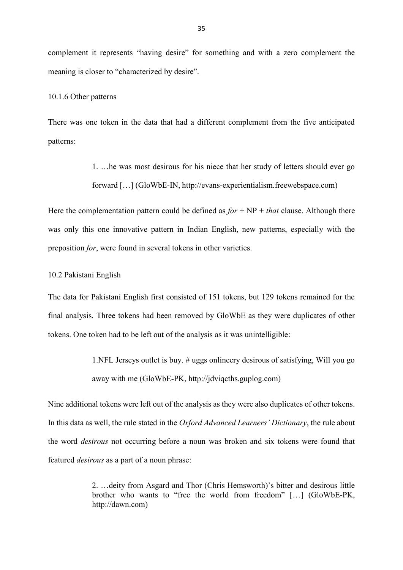complement it represents "having desire" for something and with a zero complement the meaning is closer to "characterized by desire".

#### 10.1.6 Other patterns

There was one token in the data that had a different complement from the five anticipated patterns:

> 1. …he was most desirous for his niece that her study of letters should ever go forward […] (GloWbE-IN, http://evans-experientialism.freewebspace.com)

Here the complementation pattern could be defined as  $for + NP + that$  clause. Although there was only this one innovative pattern in Indian English, new patterns, especially with the preposition *for*, were found in several tokens in other varieties.

#### 10.2 Pakistani English

The data for Pakistani English first consisted of 151 tokens, but 129 tokens remained for the final analysis. Three tokens had been removed by GloWbE as they were duplicates of other tokens. One token had to be left out of the analysis as it was unintelligible:

> 1.NFL Jerseys outlet is buy. # uggs onlineery desirous of satisfying, Will you go away with me (GloWbE-PK, http://jdviqcths.guplog.com)

Nine additional tokens were left out of the analysis as they were also duplicates of other tokens. In this data as well, the rule stated in the *Oxford Advanced Learners' Dictionary*, the rule about the word *desirous* not occurring before a noun was broken and six tokens were found that featured *desirous* as a part of a noun phrase:

> 2. …deity from Asgard and Thor (Chris Hemsworth)'s bitter and desirous little brother who wants to "free the world from freedom" […] (GloWbE-PK, http://dawn.com)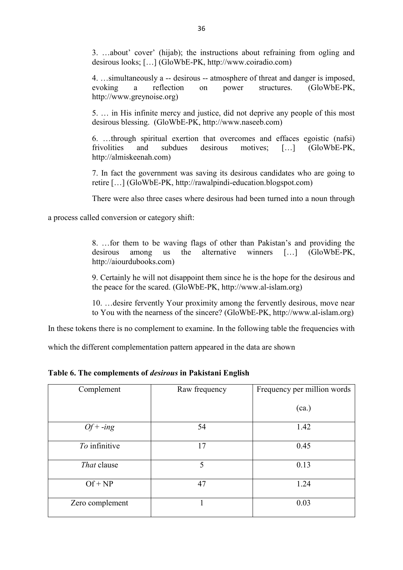3. …about' cover' (hijab); the instructions about refraining from ogling and desirous looks; […] (GloWbE-PK, http://www.coiradio.com)

4. …simultaneously a -- desirous -- atmosphere of threat and danger is imposed, evoking a reflection on power structures. (GloWbE-PK, http://www.greynoise.org)

5. … in His infinite mercy and justice, did not deprive any people of this most desirous blessing. (GloWbE-PK, http://www.naseeb.com)

6. …through spiritual exertion that overcomes and effaces egoistic (nafsi) frivolities and subdues desirous motives; […] (GloWbE-PK, http://almiskeenah.com)

7. In fact the government was saving its desirous candidates who are going to retire […] (GloWbE-PK, http://rawalpindi-education.blogspot.com)

There were also three cases where desirous had been turned into a noun through

a process called conversion or category shift:

8. …for them to be waving flags of other than Pakistan's and providing the desirous among us the alternative winners […] (GloWbE-PK, http://aiourdubooks.com)

9. Certainly he will not disappoint them since he is the hope for the desirous and the peace for the scared. (GloWbE-PK, http://www.al-islam.org)

10. …desire fervently Your proximity among the fervently desirous, move near to You with the nearness of the sincere? (GloWbE-PK, http://www.al-islam.org)

In these tokens there is no complement to examine. In the following table the frequencies with

which the different complementation pattern appeared in the data are shown

**Table 6. The complements of** *desirous* **in Pakistani English** 

| Complement      | Raw frequency | Frequency per million words |
|-----------------|---------------|-----------------------------|
|                 |               | (ca.)                       |
| $Of + -ing$     | 54            | 1.42                        |
| To infinitive   | 17            | 0.45                        |
| That clause     | 5             | 0.13                        |
| $Of + NP$       | 47            | 1.24                        |
| Zero complement |               | 0.03                        |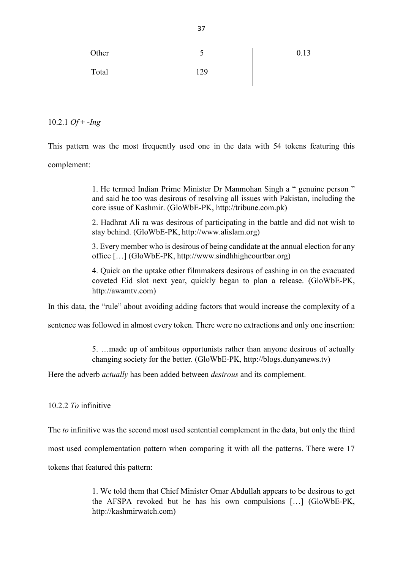| Other |              | 0.13 |
|-------|--------------|------|
| Total | .70<br>▪ ∠ ノ |      |

10.2.1 *Of* + -*Ing*

This pattern was the most frequently used one in the data with 54 tokens featuring this complement:

> 1. He termed Indian Prime Minister Dr Manmohan Singh a " genuine person " and said he too was desirous of resolving all issues with Pakistan, including the core issue of Kashmir. (GloWbE-PK, http://tribune.com.pk)

> 2. Hadhrat Ali ra was desirous of participating in the battle and did not wish to stay behind. (GloWbE-PK, http://www.alislam.org)

> 3. Every member who is desirous of being candidate at the annual election for any office […] (GloWbE-PK, http://www.sindhhighcourtbar.org)

> 4. Quick on the uptake other filmmakers desirous of cashing in on the evacuated coveted Eid slot next year, quickly began to plan a release. (GloWbE-PK, http://awamtv.com)

In this data, the "rule" about avoiding adding factors that would increase the complexity of a

sentence was followed in almost every token. There were no extractions and only one insertion:

5. …made up of ambitous opportunists rather than anyone desirous of actually changing society for the better. (GloWbE-PK, http://blogs.dunyanews.tv)

Here the adverb *actually* has been added between *desirous* and its complement.

10.2.2 *To* infinitive

The *to* infinitive was the second most used sentential complement in the data, but only the third most used complementation pattern when comparing it with all the patterns. There were 17 tokens that featured this pattern:

> 1. We told them that Chief Minister Omar Abdullah appears to be desirous to get the AFSPA revoked but he has his own compulsions […] (GloWbE-PK, http://kashmirwatch.com)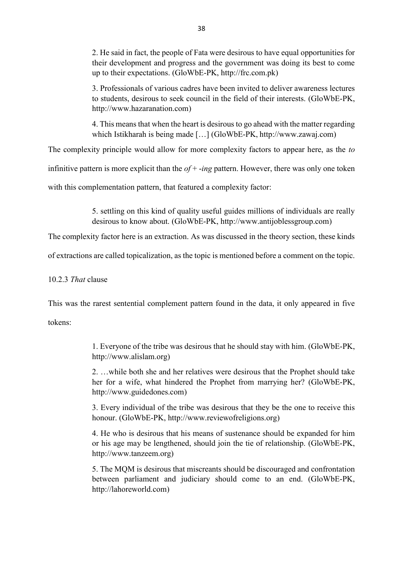2. He said in fact, the people of Fata were desirous to have equal opportunities for their development and progress and the government was doing its best to come up to their expectations. (GloWbE-PK, http://frc.com.pk)

3. Professionals of various cadres have been invited to deliver awareness lectures to students, desirous to seek council in the field of their interests. (GloWbE-PK, http://www.hazaranation.com)

4. This means that when the heart is desirous to go ahead with the matter regarding which Istikharah is being made […] (GloWbE-PK, http://www.zawaj.com)

The complexity principle would allow for more complexity factors to appear here, as the *to*

infinitive pattern is more explicit than the *of* + -*ing* pattern. However, there was only one token

with this complementation pattern, that featured a complexity factor:

5. settling on this kind of quality useful guides millions of individuals are really desirous to know about. (GloWbE-PK, http://www.antijoblessgroup.com)

The complexity factor here is an extraction. As was discussed in the theory section, these kinds

of extractions are called topicalization, as the topic is mentioned before a comment on the topic.

10.2.3 *That* clause

This was the rarest sentential complement pattern found in the data, it only appeared in five

tokens:

1. Everyone of the tribe was desirous that he should stay with him. (GloWbE-PK, http://www.alislam.org)

2. …while both she and her relatives were desirous that the Prophet should take her for a wife, what hindered the Prophet from marrying her? (GloWbE-PK, http://www.guidedones.com)

3. Every individual of the tribe was desirous that they be the one to receive this honour. (GloWbE-PK, http://www.reviewofreligions.org)

4. He who is desirous that his means of sustenance should be expanded for him or his age may be lengthened, should join the tie of relationship. (GloWbE-PK, http://www.tanzeem.org)

5. The MQM is desirous that miscreants should be discouraged and confrontation between parliament and judiciary should come to an end. (GloWbE-PK, http://lahoreworld.com)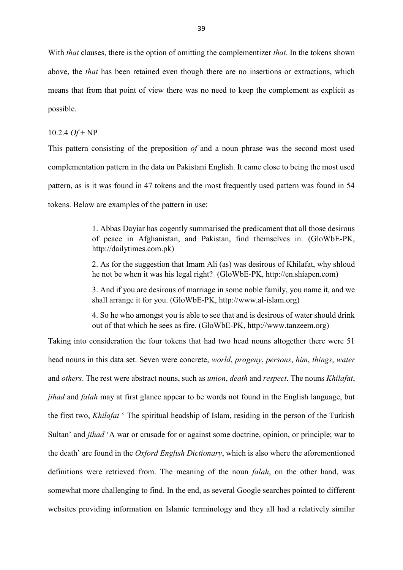With *that* clauses, there is the option of omitting the complementizer *that*. In the tokens shown above, the *that* has been retained even though there are no insertions or extractions, which means that from that point of view there was no need to keep the complement as explicit as possible.

### 10.2.4 *Of* + NP

This pattern consisting of the preposition *of* and a noun phrase was the second most used complementation pattern in the data on Pakistani English. It came close to being the most used pattern, as is it was found in 47 tokens and the most frequently used pattern was found in 54 tokens. Below are examples of the pattern in use:

> 1. Abbas Dayiar has cogently summarised the predicament that all those desirous of peace in Afghanistan, and Pakistan, find themselves in. (GloWbE-PK, http://dailytimes.com.pk)

> 2. As for the suggestion that Imam Ali (as) was desirous of Khilafat, why shloud he not be when it was his legal right? (GloWbE-PK, http://en.shiapen.com)

> 3. And if you are desirous of marriage in some noble family, you name it, and we shall arrange it for you. (GloWbE-PK, http://www.al-islam.org)

> 4. So he who amongst you is able to see that and is desirous of water should drink out of that which he sees as fire. (GloWbE-PK, http://www.tanzeem.org)

Taking into consideration the four tokens that had two head nouns altogether there were 51 head nouns in this data set. Seven were concrete, *world*, *progeny*, *persons*, *him*, *things*, *water* and *others*. The rest were abstract nouns, such as *union*, *death* and *respect*. The nouns *Khilafat*, *jihad* and *falah* may at first glance appear to be words not found in the English language, but the first two, *Khilafat* ' The spiritual headship of Islam, residing in the person of the Turkish Sultan' and *jihad* 'A war or crusade for or against some doctrine, opinion, or principle; war to the death' are found in the *Oxford English Dictionary*, which is also where the aforementioned definitions were retrieved from. The meaning of the noun *falah*, on the other hand, was somewhat more challenging to find. In the end, as several Google searches pointed to different websites providing information on Islamic terminology and they all had a relatively similar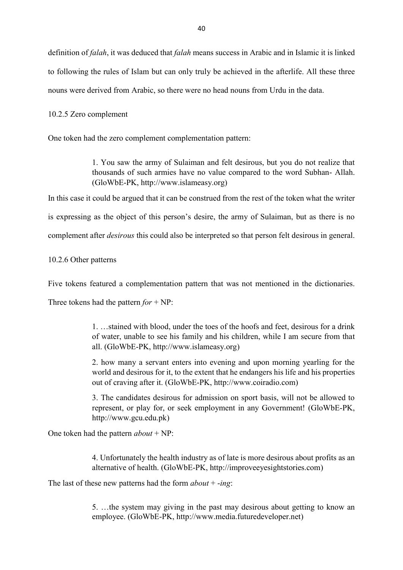definition of *falah*, it was deduced that *falah* means success in Arabic and in Islamic it is linked to following the rules of Islam but can only truly be achieved in the afterlife. All these three nouns were derived from Arabic, so there were no head nouns from Urdu in the data.

10.2.5 Zero complement

One token had the zero complement complementation pattern:

1. You saw the army of Sulaiman and felt desirous, but you do not realize that thousands of such armies have no value compared to the word Subhan- Allah. (GloWbE-PK, http://www.islameasy.org)

In this case it could be argued that it can be construed from the rest of the token what the writer is expressing as the object of this person's desire, the army of Sulaiman, but as there is no complement after *desirous* this could also be interpreted so that person felt desirous in general.

10.2.6 Other patterns

Five tokens featured a complementation pattern that was not mentioned in the dictionaries.

Three tokens had the pattern *for* + NP:

1. …stained with blood, under the toes of the hoofs and feet, desirous for a drink of water, unable to see his family and his children, while I am secure from that all. (GloWbE-PK, http://www.islameasy.org)

2. how many a servant enters into evening and upon morning yearling for the world and desirous for it, to the extent that he endangers his life and his properties out of craving after it. (GloWbE-PK, http://www.coiradio.com)

3. The candidates desirous for admission on sport basis, will not be allowed to represent, or play for, or seek employment in any Government! (GloWbE-PK, http://www.gcu.edu.pk)

One token had the pattern *about* + NP:

4. Unfortunately the health industry as of late is more desirous about profits as an alternative of health. (GloWbE-PK, http://improveeyesightstories.com)

The last of these new patterns had the form *about* + -*ing*:

5. …the system may giving in the past may desirous about getting to know an employee. (GloWbE-PK, http://www.media.futuredeveloper.net)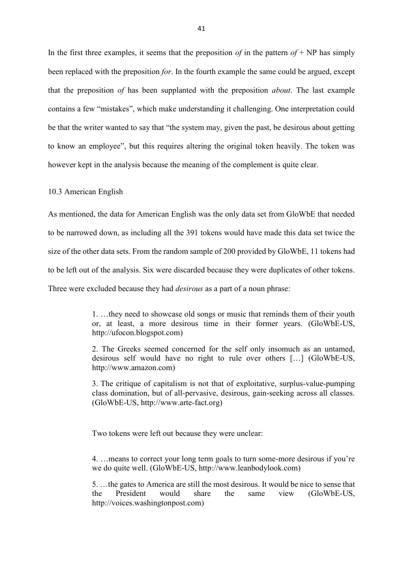In the first three examples, it seems that the preposition *of* in the pattern  $of + NP$  has simply been replaced with the preposition *for*. In the fourth example the same could be argued, except that the preposition *of* has been supplanted with the preposition *about*. The last example contains a few "mistakes", which make understanding it challenging. One interpretation could be that the writer wanted to say that "the system may, given the past, be desirous about getting to know an employee", but this requires altering the original token heavily. The token was however kept in the analysis because the meaning of the complement is quite clear.

### 10.3 American English

As mentioned, the data for American English was the only data set from GloWbE that needed to be narrowed down, as including all the 391 tokens would have made this data set twice the size of the other data sets. From the random sample of 200 provided by GloWbE, 11 tokens had to be left out of the analysis. Six were discarded because they were duplicates of other tokens. Three were excluded because they had *desirous* as a part of a noun phrase:

> 1. …they need to showcase old songs or music that reminds them of their youth or, at least, a more desirous time in their former years. (GloWbE-US, http://ufocon.blogspot.com)

> 2. The Greeks seemed concerned for the self only insomuch as an untamed, desirous self would have no right to rule over others […] (GloWbE-US, http://www.amazon.com)

> 3. The critique of capitalism is not that of exploitative, surplus-value-pumping class domination, but of all-pervasive, desirous, gain-seeking across all classes. (GloWbE-US, http://www.arte-fact.org)

Two tokens were left out because they were unclear:

4. …means to correct your long term goals to turn some-more desirous if you're we do quite well. (GloWbE-US, http://www.leanbodylook.com)

5. …the gates to America are still the most desirous. It would be nice to sense that the President would share the same view (GloWbE-US, http://voices.washingtonpost.com)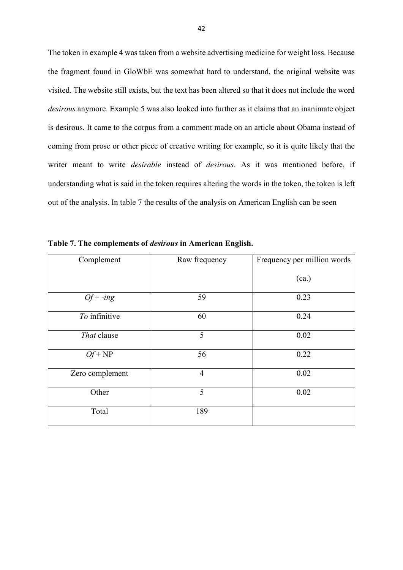The token in example 4 was taken from a website advertising medicine for weight loss. Because the fragment found in GloWbE was somewhat hard to understand, the original website was visited. The website still exists, but the text has been altered so that it does not include the word *desirous* anymore. Example 5 was also looked into further as it claims that an inanimate object is desirous. It came to the corpus from a comment made on an article about Obama instead of coming from prose or other piece of creative writing for example, so it is quite likely that the writer meant to write *desirable* instead of *desirous*. As it was mentioned before, if understanding what is said in the token requires altering the words in the token, the token is left out of the analysis. In table 7 the results of the analysis on American English can be seen

| Complement      | Raw frequency  | Frequency per million words |
|-----------------|----------------|-----------------------------|
|                 |                | (ca.)                       |
| $Of + -ing$     | 59             | 0.23                        |
| To infinitive   | 60             | 0.24                        |
| That clause     | 5              | 0.02                        |
| $Of + NP$       | 56             | 0.22                        |
| Zero complement | $\overline{4}$ | 0.02                        |
| Other           | 5              | 0.02                        |
| Total           | 189            |                             |

**Table 7. The complements of** *desirous* **in American English.**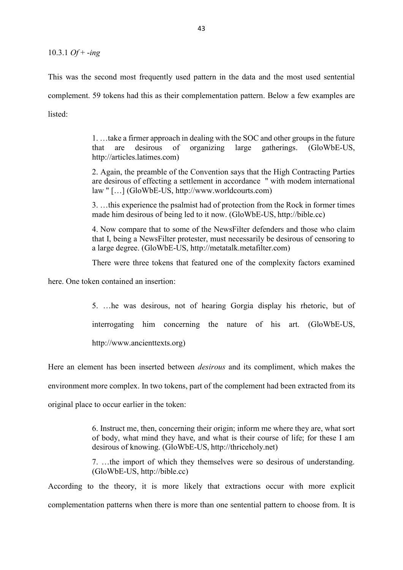10.3.1 *Of* + -*ing*

This was the second most frequently used pattern in the data and the most used sentential complement. 59 tokens had this as their complementation pattern. Below a few examples are listed:

> 1. …take a firmer approach in dealing with the SOC and other groups in the future that are desirous of organizing large gatherings. (GloWbE-US, http://articles.latimes.com)

> 2. Again, the preamble of the Convention says that the High Contracting Parties are desirous of effecting a settlement in accordance " with modem international law " […] (GloWbE-US, http://www.worldcourts.com)

> 3. …this experience the psalmist had of protection from the Rock in former times made him desirous of being led to it now. (GloWbE-US, http://bible.cc)

> 4. Now compare that to some of the NewsFilter defenders and those who claim that I, being a NewsFilter protester, must necessarily be desirous of censoring to a large degree. (GloWbE-US, http://metatalk.metafilter.com)

> There were three tokens that featured one of the complexity factors examined

here. One token contained an insertion:

5. …he was desirous, not of hearing Gorgia display his rhetoric, but of interrogating him concerning the nature of his art. (GloWbE-US, http://www.ancienttexts.org)

Here an element has been inserted between *desirous* and its compliment, which makes the environment more complex. In two tokens, part of the complement had been extracted from its original place to occur earlier in the token:

> 6. Instruct me, then, concerning their origin; inform me where they are, what sort of body, what mind they have, and what is their course of life; for these I am desirous of knowing. (GloWbE-US, http://thriceholy.net)

> 7. …the import of which they themselves were so desirous of understanding. (GloWbE-US, http://bible.cc)

According to the theory, it is more likely that extractions occur with more explicit complementation patterns when there is more than one sentential pattern to choose from. It is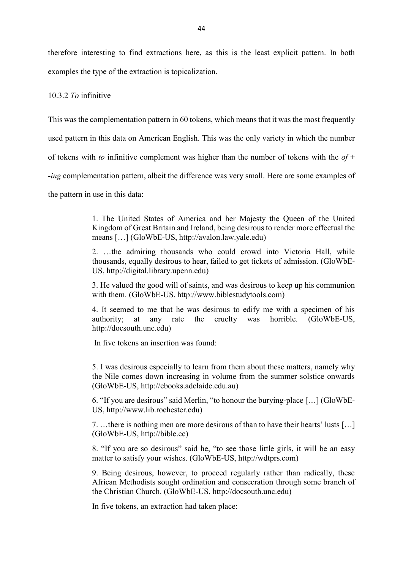therefore interesting to find extractions here, as this is the least explicit pattern. In both examples the type of the extraction is topicalization.

# 10.3.2 *To* infinitive

This was the complementation pattern in 60 tokens, which means that it was the most frequently

used pattern in this data on American English. This was the only variety in which the number

of tokens with *to* infinitive complement was higher than the number of tokens with the *of* +

-*ing* complementation pattern, albeit the difference was very small. Here are some examples of

the pattern in use in this data:

1. The United States of America and her Majesty the Queen of the United Kingdom of Great Britain and Ireland, being desirous to render more effectual the means […] (GloWbE-US, http://avalon.law.yale.edu)

2. …the admiring thousands who could crowd into Victoria Hall, while thousands, equally desirous to hear, failed to get tickets of admission. (GloWbE-US, http://digital.library.upenn.edu)

3. He valued the good will of saints, and was desirous to keep up his communion with them. (GloWbE-US, http://www.biblestudytools.com)

4. It seemed to me that he was desirous to edify me with a specimen of his authority; at any rate the cruelty was horrible. (GloWbE-US, http://docsouth.unc.edu)

In five tokens an insertion was found:

5. I was desirous especially to learn from them about these matters, namely why the Nile comes down increasing in volume from the summer solstice onwards (GloWbE-US, http://ebooks.adelaide.edu.au)

6. "If you are desirous" said Merlin, "to honour the burying-place […] (GloWbE-US, http://www.lib.rochester.edu)

7. …there is nothing men are more desirous of than to have their hearts' lusts […] (GloWbE-US, http://bible.cc)

8. "If you are so desirous" said he, "to see those little girls, it will be an easy matter to satisfy your wishes. (GloWbE-US, http://wdtprs.com)

9. Being desirous, however, to proceed regularly rather than radically, these African Methodists sought ordination and consecration through some branch of the Christian Church. (GloWbE-US, http://docsouth.unc.edu)

In five tokens, an extraction had taken place: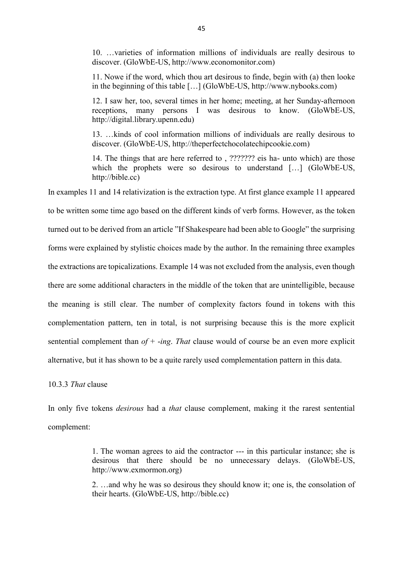10. …varieties of information millions of individuals are really desirous to discover. (GloWbE-US, http://www.economonitor.com)

11. Nowe if the word, which thou art desirous to finde, begin with (a) then looke in the beginning of this table […] (GloWbE-US, http://www.nybooks.com)

12. I saw her, too, several times in her home; meeting, at her Sunday-afternoon receptions, many persons I was desirous to know. (GloWbE-US, http://digital.library.upenn.edu)

13. …kinds of cool information millions of individuals are really desirous to discover. (GloWbE-US, http://theperfectchocolatechipcookie.com)

14. The things that are here referred to , ??????? eis ha- unto which) are those which the prophets were so desirous to understand [...] (GloWbE-US, http://bible.cc)

In examples 11 and 14 relativization is the extraction type. At first glance example 11 appeared to be written some time ago based on the different kinds of verb forms. However, as the token turned out to be derived from an article "If Shakespeare had been able to Google" the surprising forms were explained by stylistic choices made by the author. In the remaining three examples the extractions are topicalizations. Example 14 was not excluded from the analysis, even though there are some additional characters in the middle of the token that are unintelligible, because

the meaning is still clear. The number of complexity factors found in tokens with this complementation pattern, ten in total, is not surprising because this is the more explicit sentential complement than *of* + -*ing*. *That* clause would of course be an even more explicit alternative, but it has shown to be a quite rarely used complementation pattern in this data.

10.3.3 *That* clause

In only five tokens *desirous* had a *that* clause complement, making it the rarest sentential complement:

> 1. The woman agrees to aid the contractor --- in this particular instance; she is desirous that there should be no unnecessary delays. (GloWbE-US, http://www.exmormon.org)

> 2. …and why he was so desirous they should know it; one is, the consolation of their hearts. (GloWbE-US, http://bible.cc)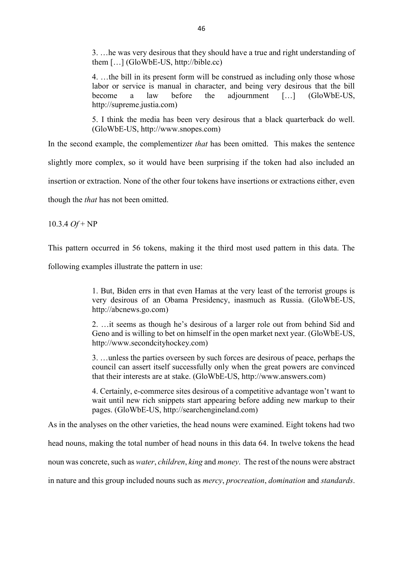3. …he was very desirous that they should have a true and right understanding of them […] (GloWbE-US, http://bible.cc)

4. …the bill in its present form will be construed as including only those whose labor or service is manual in character, and being very desirous that the bill become a law before the adjournment […] (GloWbE-US, http://supreme.justia.com)

5. I think the media has been very desirous that a black quarterback do well. (GloWbE-US, http://www.snopes.com)

In the second example, the complementizer *that* has been omitted. This makes the sentence

slightly more complex, so it would have been surprising if the token had also included an

insertion or extraction. None of the other four tokens have insertions or extractions either, even

though the *that* has not been omitted.

10.3.4 *Of* + NP

This pattern occurred in 56 tokens, making it the third most used pattern in this data. The

following examples illustrate the pattern in use:

1. But, Biden errs in that even Hamas at the very least of the terrorist groups is very desirous of an Obama Presidency, inasmuch as Russia. (GloWbE-US, http://abcnews.go.com)

2. …it seems as though he's desirous of a larger role out from behind Sid and Geno and is willing to bet on himself in the open market next year. (GloWbE-US, http://www.secondcityhockey.com)

3. …unless the parties overseen by such forces are desirous of peace, perhaps the council can assert itself successfully only when the great powers are convinced that their interests are at stake. (GloWbE-US, http://www.answers.com)

4. Certainly, e-commerce sites desirous of a competitive advantage won't want to wait until new rich snippets start appearing before adding new markup to their pages. (GloWbE-US, http://searchengineland.com)

As in the analyses on the other varieties, the head nouns were examined. Eight tokens had two

head nouns, making the total number of head nouns in this data 64. In twelve tokens the head

noun was concrete, such as *water*, *children*, *king* and *money*. The rest of the nouns were abstract

in nature and this group included nouns such as *mercy*, *procreation*, *domination* and *standards*.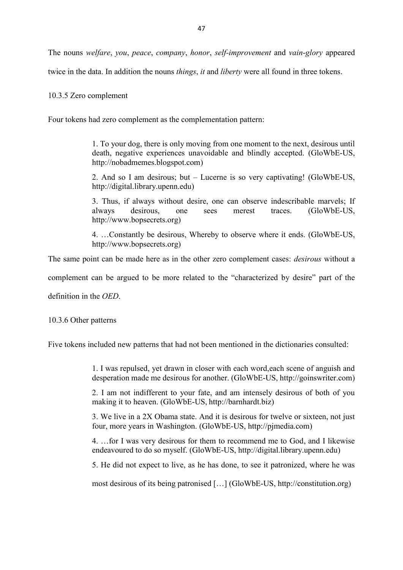The nouns *welfare*, *you*, *peace*, *company*, *honor*, *self-improvement* and *vain-glory* appeared

twice in the data. In addition the nouns *things*, *it* and *liberty* were all found in three tokens.

# 10.3.5 Zero complement

Four tokens had zero complement as the complementation pattern:

1. To your dog, there is only moving from one moment to the next, desirous until death, negative experiences unavoidable and blindly accepted. (GloWbE-US, http://nobadmemes.blogspot.com)

2. And so I am desirous; but – Lucerne is so very captivating! (GloWbE-US, http://digital.library.upenn.edu)

3. Thus, if always without desire, one can observe indescribable marvels; If always desirous, one sees merest traces. (GloWbE-US, http://www.bopsecrets.org)

4. …Constantly be desirous, Whereby to observe where it ends. (GloWbE-US, http://www.bopsecrets.org)

The same point can be made here as in the other zero complement cases: *desirous* without a

complement can be argued to be more related to the "characterized by desire" part of the

definition in the *OED*.

10.3.6 Other patterns

Five tokens included new patterns that had not been mentioned in the dictionaries consulted:

1. I was repulsed, yet drawn in closer with each word,each scene of anguish and desperation made me desirous for another. (GloWbE-US, http://goinswriter.com)

2. I am not indifferent to your fate, and am intensely desirous of both of you making it to heaven. (GloWbE-US, http://barnhardt.biz)

3. We live in a 2X Obama state. And it is desirous for twelve or sixteen, not just four, more years in Washington. (GloWbE-US, http://pjmedia.com)

4. …for I was very desirous for them to recommend me to God, and I likewise endeavoured to do so myself. (GloWbE-US, http://digital.library.upenn.edu)

5. He did not expect to live, as he has done, to see it patronized, where he was

most desirous of its being patronised […] (GloWbE-US, http://constitution.org)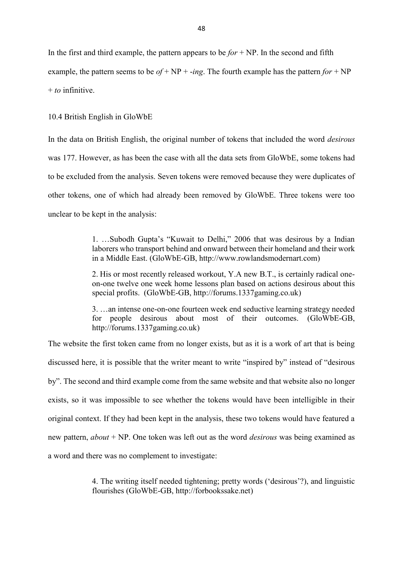In the first and third example, the pattern appears to be  $for + NP$ . In the second and fifth example, the pattern seems to be  $of + NP + -ing$ . The fourth example has the pattern  $for + NP$ + *to* infinitive.

10.4 British English in GloWbE

In the data on British English, the original number of tokens that included the word *desirous* was 177. However, as has been the case with all the data sets from GloWbE, some tokens had to be excluded from the analysis. Seven tokens were removed because they were duplicates of other tokens, one of which had already been removed by GloWbE. Three tokens were too unclear to be kept in the analysis:

> 1. …Subodh Gupta's "Kuwait to Delhi," 2006 that was desirous by a Indian laborers who transport behind and onward between their homeland and their work in a Middle East. (GloWbE-GB, http://www.rowlandsmodernart.com)

> 2. His or most recently released workout, Y.A new B.T., is certainly radical oneon-one twelve one week home lessons plan based on actions desirous about this special profits. (GloWbE-GB, http://forums.1337gaming.co.uk)

> 3. …an intense one-on-one fourteen week end seductive learning strategy needed for people desirous about most of their outcomes. (GloWbE-GB, http://forums.1337gaming.co.uk)

The website the first token came from no longer exists, but as it is a work of art that is being discussed here, it is possible that the writer meant to write "inspired by" instead of "desirous by". The second and third example come from the same website and that website also no longer exists, so it was impossible to see whether the tokens would have been intelligible in their original context. If they had been kept in the analysis, these two tokens would have featured a new pattern, *about* + NP. One token was left out as the word *desirous* was being examined as a word and there was no complement to investigate:

> 4. The writing itself needed tightening; pretty words ('desirous'?), and linguistic flourishes (GloWbE-GB, http://forbookssake.net)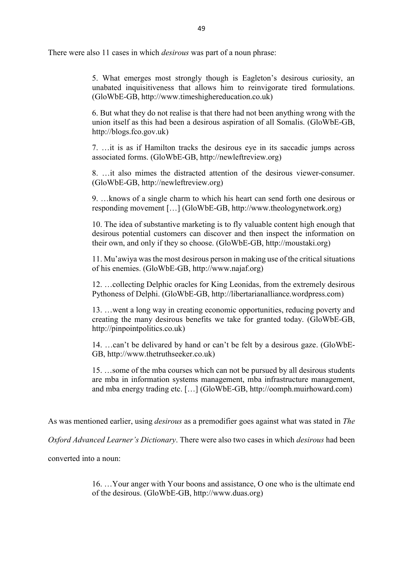There were also 11 cases in which *desirous* was part of a noun phrase:

5. What emerges most strongly though is Eagleton's desirous curiosity, an unabated inquisitiveness that allows him to reinvigorate tired formulations. (GloWbE-GB, http://www.timeshighereducation.co.uk)

6. But what they do not realise is that there had not been anything wrong with the union itself as this had been a desirous aspiration of all Somalis. (GloWbE-GB, http://blogs.fco.gov.uk)

7. …it is as if Hamilton tracks the desirous eye in its saccadic jumps across associated forms. (GloWbE-GB, http://newleftreview.org)

8. …it also mimes the distracted attention of the desirous viewer-consumer. (GloWbE-GB, http://newleftreview.org)

9. …knows of a single charm to which his heart can send forth one desirous or responding movement […] (GloWbE-GB, http://www.theologynetwork.org)

10. The idea of substantive marketing is to fly valuable content high enough that desirous potential customers can discover and then inspect the information on their own, and only if they so choose. (GloWbE-GB, http://moustaki.org)

11. Mu'awiya was the most desirous person in making use of the critical situations of his enemies. (GloWbE-GB, http://www.najaf.org)

12. …collecting Delphic oracles for King Leonidas, from the extremely desirous Pythoness of Delphi. (GloWbE-GB, http://libertarianalliance.wordpress.com)

13. …went a long way in creating economic opportunities, reducing poverty and creating the many desirous benefits we take for granted today. (GloWbE-GB, http://pinpointpolitics.co.uk)

14. …can't be delivared by hand or can't be felt by a desirous gaze. (GloWbE-GB, http://www.thetruthseeker.co.uk)

15. …some of the mba courses which can not be pursued by all desirous students are mba in information systems management, mba infrastructure management, and mba energy trading etc. […] (GloWbE-GB, http://oomph.muirhoward.com)

As was mentioned earlier, using *desirous* as a premodifier goes against what was stated in *The* 

*Oxford Advanced Learner's Dictionary*. There were also two cases in which *desirous* had been

converted into a noun:

16. …Your anger with Your boons and assistance, O one who is the ultimate end of the desirous. (GloWbE-GB, http://www.duas.org)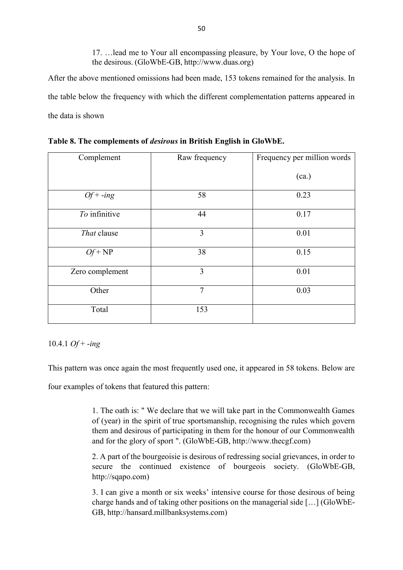17. …lead me to Your all encompassing pleasure, by Your love, O the hope of the desirous. (GloWbE-GB, http://www.duas.org)

After the above mentioned omissions had been made, 153 tokens remained for the analysis. In the table below the frequency with which the different complementation patterns appeared in the data is shown

| Complement      | Raw frequency  | Frequency per million words |
|-----------------|----------------|-----------------------------|
|                 |                | (ca.)                       |
| $Of + -ing$     | 58             | 0.23                        |
| To infinitive   | 44             | 0.17                        |
| That clause     | 3              | 0.01                        |
| $Of + NP$       | 38             | 0.15                        |
| Zero complement | 3              | 0.01                        |
| Other           | $\overline{7}$ | 0.03                        |
| Total           | 153            |                             |

**Table 8. The complements of** *desirous* **in British English in GloWbE.** 

10.4.1 *Of* + -*ing*

This pattern was once again the most frequently used one, it appeared in 58 tokens. Below are

four examples of tokens that featured this pattern:

1. The oath is: " We declare that we will take part in the Commonwealth Games of (year) in the spirit of true sportsmanship, recognising the rules which govern them and desirous of participating in them for the honour of our Commonwealth and for the glory of sport ". (GloWbE-GB, http://www.thecgf.com)

2. A part of the bourgeoisie is desirous of redressing social grievances, in order to secure the continued existence of bourgeois society. (GloWbE-GB, http://sqapo.com)

3. I can give a month or six weeks' intensive course for those desirous of being charge hands and of taking other positions on the managerial side […] (GloWbE-GB, http://hansard.millbanksystems.com)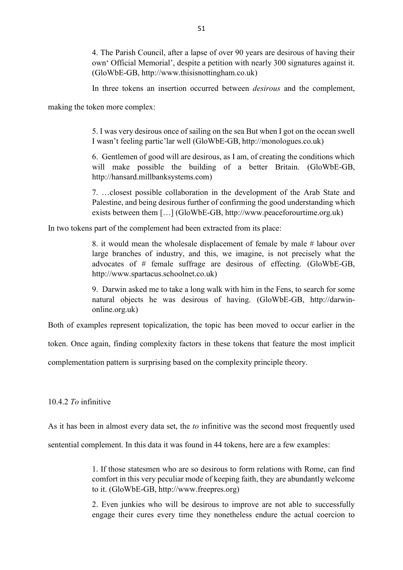4. The Parish Council, after a lapse of over 90 years are desirous of having their own' Official Memorial', despite a petition with nearly 300 signatures against it. (GloWbE-GB, http://www.thisisnottingham.co.uk)

In three tokens an insertion occurred between *desirous* and the complement,

making the token more complex:

5. I was very desirous once of sailing on the sea But when I got on the ocean swell I wasn't feeling partic'lar well (GloWbE-GB, http://monologues.co.uk)

6. Gentlemen of good will are desirous, as I am, of creating the conditions which will make possible the building of a better Britain. (GloWbE-GB, http://hansard.millbanksystems.com)

7. …closest possible collaboration in the development of the Arab State and Palestine, and being desirous further of confirming the good understanding which exists between them […] (GloWbE-GB, http://www.peaceforourtime.org.uk)

In two tokens part of the complement had been extracted from its place:

8. it would mean the wholesale displacement of female by male # labour over large branches of industry, and this, we imagine, is not precisely what the advocates of # female suffrage are desirous of effecting. (GloWbE-GB, http://www.spartacus.schoolnet.co.uk)

9. Darwin asked me to take a long walk with him in the Fens, to search for some natural objects he was desirous of having. (GloWbE-GB, http://darwinonline.org.uk)

Both of examples represent topicalization, the topic has been moved to occur earlier in the

token. Once again, finding complexity factors in these tokens that feature the most implicit

complementation pattern is surprising based on the complexity principle theory.

10.4.2 *To* infinitive

As it has been in almost every data set, the *to* infinitive was the second most frequently used

sentential complement. In this data it was found in 44 tokens, here are a few examples:

1. If those statesmen who are so desirous to form relations with Rome, can find comfort in this very peculiar mode of keeping faith, they are abundantly welcome to it. (GloWbE-GB, http://www.freepres.org)

2. Even junkies who will be desirous to improve are not able to successfully engage their cures every time they nonetheless endure the actual coercion to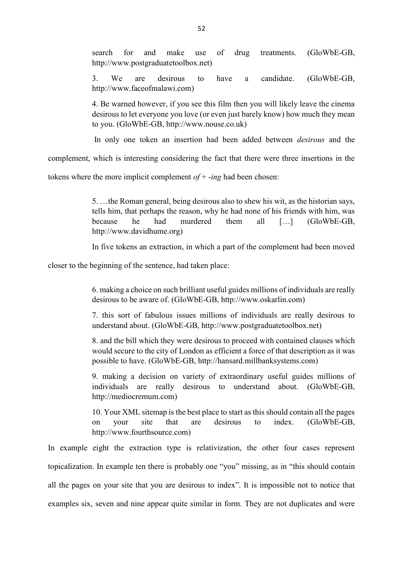search for and make use of drug treatments. (GloWbE-GB, http://www.postgraduatetoolbox.net)

3. We are desirous to have a candidate. (GloWbE-GB, http://www.faceofmalawi.com)

4. Be warned however, if you see this film then you will likely leave the cinema desirous to let everyone you love (or even just barely know) how much they mean to you. (GloWbE-GB, http://www.nouse.co.uk)

In only one token an insertion had been added between *desirous* and the

complement, which is interesting considering the fact that there were three insertions in the

tokens where the more implicit complement *of* + -*ing* had been chosen:

5. …the Roman general, being desirous also to shew his wit, as the historian says, tells him, that perhaps the reason, why he had none of his friends with him, was because he had murdered them all […] (GloWbE-GB, http://www.davidhume.org)

In five tokens an extraction, in which a part of the complement had been moved

closer to the beginning of the sentence, had taken place:

6. making a choice on such brilliant useful guides millions of individuals are really desirous to be aware of. (GloWbE-GB, http://www.oskarlin.com)

7. this sort of fabulous issues millions of individuals are really desirous to understand about. (GloWbE-GB, http://www.postgraduatetoolbox.net)

8. and the bill which they were desirous to proceed with contained clauses which would secure to the city of London as efficient a force of that description as it was possible to have. (GloWbE-GB, http://hansard.millbanksystems.com)

9. making a decision on variety of extraordinary useful guides millions of individuals are really desirous to understand about. (GloWbE-GB, http://mediocremum.com)

10. Your XML sitemap is the best place to start as this should contain all the pages on your site that are desirous to index. (GloWbE-GB, http://www.fourthsource.com)

In example eight the extraction type is relativization, the other four cases represent topicalization. In example ten there is probably one "you" missing, as in "this should contain all the pages on your site that you are desirous to index". It is impossible not to notice that examples six, seven and nine appear quite similar in form. They are not duplicates and were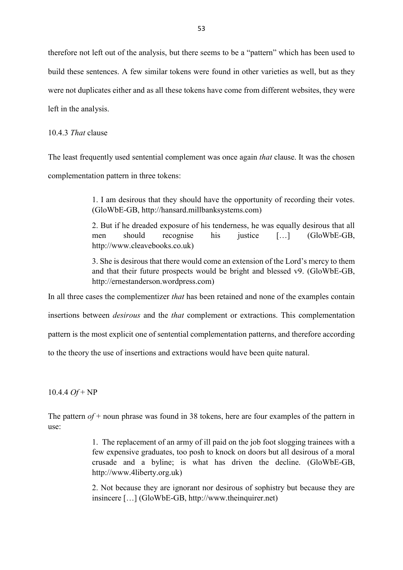therefore not left out of the analysis, but there seems to be a "pattern" which has been used to build these sentences. A few similar tokens were found in other varieties as well, but as they were not duplicates either and as all these tokens have come from different websites, they were left in the analysis.

10.4.3 *That* clause

The least frequently used sentential complement was once again *that* clause. It was the chosen complementation pattern in three tokens:

> 1. I am desirous that they should have the opportunity of recording their votes. (GloWbE-GB, http://hansard.millbanksystems.com)

> 2. But if he dreaded exposure of his tenderness, he was equally desirous that all men should recognise his justice […] (GloWbE-GB, http://www.cleavebooks.co.uk)

> 3. She is desirous that there would come an extension of the Lord's mercy to them and that their future prospects would be bright and blessed v9. (GloWbE-GB, http://ernestanderson.wordpress.com)

In all three cases the complementizer *that* has been retained and none of the examples contain

insertions between *desirous* and the *that* complement or extractions. This complementation

pattern is the most explicit one of sentential complementation patterns, and therefore according

to the theory the use of insertions and extractions would have been quite natural.

10.4.4 *Of* + NP

The pattern *of* + noun phrase was found in 38 tokens, here are four examples of the pattern in use:

> 1. The replacement of an army of ill paid on the job foot slogging trainees with a few expensive graduates, too posh to knock on doors but all desirous of a moral crusade and a byline; is what has driven the decline. (GloWbE-GB, http://www.4liberty.org.uk)

> 2. Not because they are ignorant nor desirous of sophistry but because they are insincere […] (GloWbE-GB, http://www.theinquirer.net)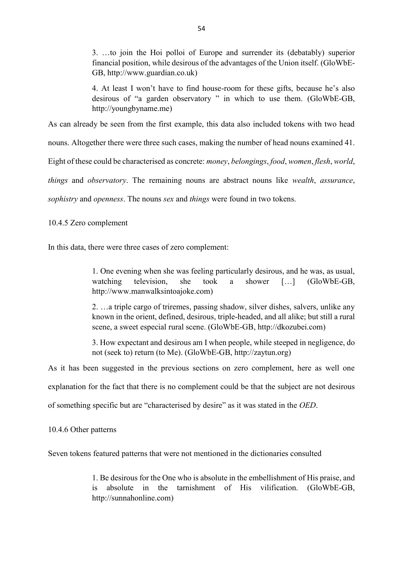3. …to join the Hoi polloi of Europe and surrender its (debatably) superior financial position, while desirous of the advantages of the Union itself. (GloWbE-GB, http://www.guardian.co.uk)

4. At least I won't have to find house-room for these gifts, because he's also desirous of "a garden observatory " in which to use them. (GloWbE-GB, http://youngbyname.me)

As can already be seen from the first example, this data also included tokens with two head

nouns. Altogether there were three such cases, making the number of head nouns examined 41.

Eight of these could be characterised as concrete: *money*, *belongings*, *food*, *women*, *flesh*, *world*,

*things* and *observatory*. The remaining nouns are abstract nouns like *wealth*, *assurance*,

*sophistry* and *openness*. The nouns *sex* and *things* were found in two tokens.

10.4.5 Zero complement

In this data, there were three cases of zero complement:

1. One evening when she was feeling particularly desirous, and he was, as usual, watching television, she took a shower […] (GloWbE-GB, http://www.manwalksintoajoke.com)

2. …a triple cargo of triremes, passing shadow, silver dishes, salvers, unlike any known in the orient, defined, desirous, triple-headed, and all alike; but still a rural scene, a sweet especial rural scene. (GloWbE-GB, http://dkozubei.com)

3. How expectant and desirous am I when people, while steeped in negligence, do not (seek to) return (to Me). (GloWbE-GB, http://zaytun.org)

As it has been suggested in the previous sections on zero complement, here as well one

explanation for the fact that there is no complement could be that the subject are not desirous

of something specific but are "characterised by desire" as it was stated in the *OED*.

10.4.6 Other patterns

Seven tokens featured patterns that were not mentioned in the dictionaries consulted

1. Be desirous for the One who is absolute in the embellishment of His praise, and is absolute in the tarnishment of His vilification. (GloWbE-GB, http://sunnahonline.com)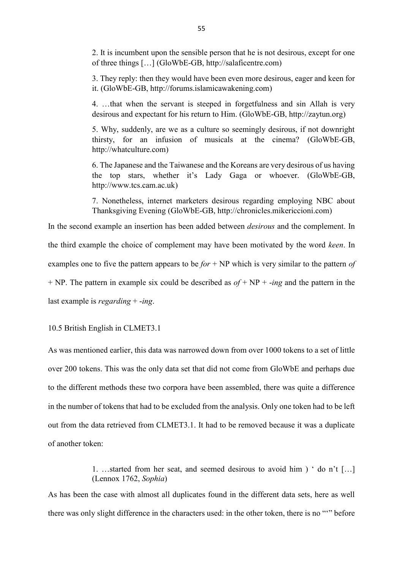2. It is incumbent upon the sensible person that he is not desirous, except for one of three things […] (GloWbE-GB, http://salaficentre.com)

3. They reply: then they would have been even more desirous, eager and keen for it. (GloWbE-GB, http://forums.islamicawakening.com)

4. …that when the servant is steeped in forgetfulness and sin Allah is very desirous and expectant for his return to Him. (GloWbE-GB, http://zaytun.org)

5. Why, suddenly, are we as a culture so seemingly desirous, if not downright thirsty, for an infusion of musicals at the cinema? (GloWbE-GB, http://whatculture.com)

6. The Japanese and the Taiwanese and the Koreans are very desirous of us having the top stars, whether it's Lady Gaga or whoever. (GloWbE-GB, http://www.tcs.cam.ac.uk)

7. Nonetheless, internet marketers desirous regarding employing NBC about Thanksgiving Evening (GloWbE-GB, http://chronicles.mikericcioni.com)

In the second example an insertion has been added between *desirous* and the complement. In the third example the choice of complement may have been motivated by the word *keen*. In examples one to five the pattern appears to be *for* + NP which is very similar to the pattern *of* + NP. The pattern in example six could be described as *of* + NP + -*ing* and the pattern in the last example is *regarding* + -*ing*.

10.5 British English in CLMET3.1

As was mentioned earlier, this data was narrowed down from over 1000 tokens to a set of little over 200 tokens. This was the only data set that did not come from GloWbE and perhaps due to the different methods these two corpora have been assembled, there was quite a difference in the number of tokens that had to be excluded from the analysis. Only one token had to be left out from the data retrieved from CLMET3.1. It had to be removed because it was a duplicate of another token:

> 1. …started from her seat, and seemed desirous to avoid him ) ' do n't […] (Lennox 1762, *Sophia*)

As has been the case with almost all duplicates found in the different data sets, here as well there was only slight difference in the characters used: in the other token, there is no "'" before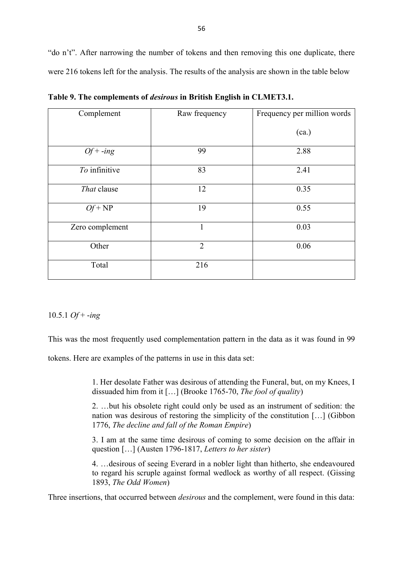"do n't". After narrowing the number of tokens and then removing this one duplicate, there were 216 tokens left for the analysis. The results of the analysis are shown in the table below

| Complement      | Raw frequency  | Frequency per million words |
|-----------------|----------------|-----------------------------|
|                 |                | (ca.)                       |
| $Of + -ing$     | 99             | 2.88                        |
| To infinitive   | 83             | 2.41                        |
| That clause     | 12             | 0.35                        |
| $Qf + NP$       | 19             | 0.55                        |
| Zero complement | 1              | 0.03                        |
| Other           | $\overline{2}$ | 0.06                        |
| Total           | 216            |                             |

**Table 9. The complements of** *desirous* **in British English in CLMET3.1.** 

# 10.5.1 *Of* + -*ing*

This was the most frequently used complementation pattern in the data as it was found in 99

tokens. Here are examples of the patterns in use in this data set:

1. Her desolate Father was desirous of attending the Funeral, but, on my Knees, I dissuaded him from it […] (Brooke 1765-70, *The fool of quality*)

2. …but his obsolete right could only be used as an instrument of sedition: the nation was desirous of restoring the simplicity of the constitution […] (Gibbon 1776, *The decline and fall of the Roman Empire*)

3. I am at the same time desirous of coming to some decision on the affair in question […] (Austen 1796-1817, *Letters to her sister*)

4. …desirous of seeing Everard in a nobler light than hitherto, she endeavoured to regard his scruple against formal wedlock as worthy of all respect. (Gissing 1893, *The Odd Women*)

Three insertions, that occurred between *desirous* and the complement, were found in this data: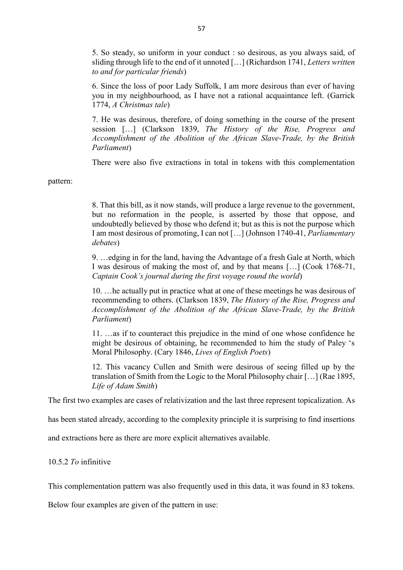5. So steady, so uniform in your conduct : so desirous, as you always said, of sliding through life to the end of it unnoted […] (Richardson 1741, *Letters written to and for particular friends*)

6. Since the loss of poor Lady Suffolk, I am more desirous than ever of having you in my neighbourhood, as I have not a rational acquaintance left. (Garrick 1774, *A Christmas tale*)

7. He was desirous, therefore, of doing something in the course of the present session […] (Clarkson 1839, *The History of the Rise, Progress and Accomplishment of the Abolition of the African Slave-Trade, by the British Parliament*)

There were also five extractions in total in tokens with this complementation

pattern:

8. That this bill, as it now stands, will produce a large revenue to the government, but no reformation in the people, is asserted by those that oppose, and undoubtedly believed by those who defend it; but as this is not the purpose which I am most desirous of promoting, I can not […] (Johnson 1740-41, *Parliamentary debates*)

9. …edging in for the land, having the Advantage of a fresh Gale at North, which I was desirous of making the most of, and by that means […] (Cook 1768-71, *Captain Cook's journal during the first voyage round the world*)

10. …he actually put in practice what at one of these meetings he was desirous of recommending to others. (Clarkson 1839, *The History of the Rise, Progress and Accomplishment of the Abolition of the African Slave-Trade, by the British Parliament*)

11. …as if to counteract this prejudice in the mind of one whose confidence he might be desirous of obtaining, he recommended to him the study of Paley 's Moral Philosophy. (Cary 1846, *Lives of English Poets*)

12. This vacancy Cullen and Smith were desirous of seeing filled up by the translation of Smith from the Logic to the Moral Philosophy chair […] (Rae 1895, *Life of Adam Smith*)

The first two examples are cases of relativization and the last three represent topicalization. As

has been stated already, according to the complexity principle it is surprising to find insertions

and extractions here as there are more explicit alternatives available.

10.5.2 *To* infinitive

This complementation pattern was also frequently used in this data, it was found in 83 tokens.

Below four examples are given of the pattern in use: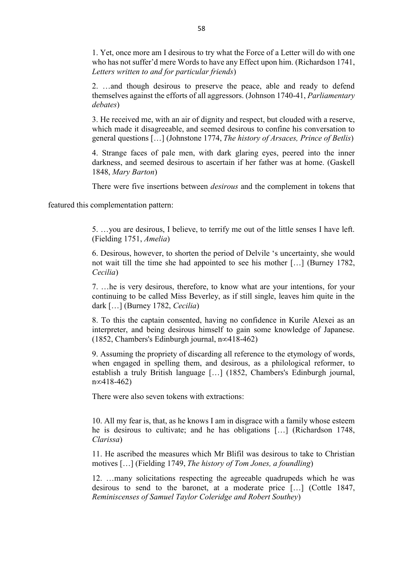1. Yet, once more am I desirous to try what the Force of a Letter will do with one who has not suffer'd mere Words to have any Effect upon him. (Richardson 1741, *Letters written to and for particular friends*)

2. …and though desirous to preserve the peace, able and ready to defend themselves against the efforts of all aggressors. (Johnson 1740-41, *Parliamentary debates*)

3. He received me, with an air of dignity and respect, but clouded with a reserve, which made it disagreeable, and seemed desirous to confine his conversation to general questions […] (Johnstone 1774, *The history of Arsaces, Prince of Betlis*)

4. Strange faces of pale men, with dark glaring eyes, peered into the inner darkness, and seemed desirous to ascertain if her father was at home. (Gaskell 1848, *Mary Barton*)

There were five insertions between *desirous* and the complement in tokens that

featured this complementation pattern:

5. …you are desirous, I believe, to terrify me out of the little senses I have left. (Fielding 1751, *Amelia*)

6. Desirous, however, to shorten the period of Delvile 's uncertainty, she would not wait till the time she had appointed to see his mother […] (Burney 1782, *Cecilia*)

7. …he is very desirous, therefore, to know what are your intentions, for your continuing to be called Miss Beverley, as if still single, leaves him quite in the dark […] (Burney 1782, *Cecilia*)

8. To this the captain consented, having no confidence in Kurile Alexei as an interpreter, and being desirous himself to gain some knowledge of Japanese. (1852, Chambers's Edinburgh journal, n∞418-462)

9. Assuming the propriety of discarding all reference to the etymology of words, when engaged in spelling them, and desirous, as a philological reformer, to establish a truly British language […] (1852, Chambers's Edinburgh journal, n∞418-462)

There were also seven tokens with extractions:

10. All my fear is, that, as he knows I am in disgrace with a family whose esteem he is desirous to cultivate; and he has obligations […] (Richardson 1748, *Clarissa*)

11. He ascribed the measures which Mr Blifil was desirous to take to Christian motives […] (Fielding 1749, *The history of Tom Jones, a foundling*)

12. …many solicitations respecting the agreeable quadrupeds which he was desirous to send to the baronet, at a moderate price […] (Cottle 1847, *Reminiscenses of Samuel Taylor Coleridge and Robert Southey*)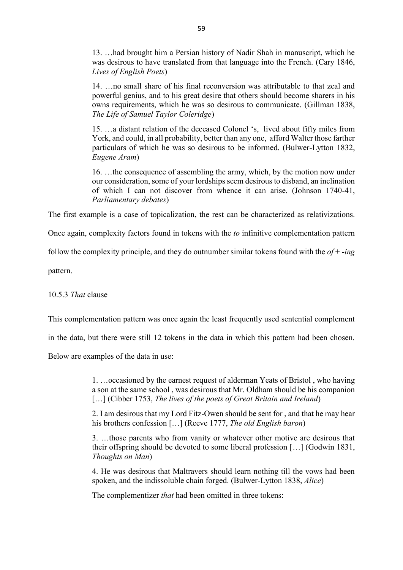13. …had brought him a Persian history of Nadir Shah in manuscript, which he was desirous to have translated from that language into the French. (Cary 1846, *Lives of English Poets*)

14. …no small share of his final reconversion was attributable to that zeal and powerful genius, and to his great desire that others should become sharers in his owns requirements, which he was so desirous to communicate. (Gillman 1838, *The Life of Samuel Taylor Coleridge*)

15. …a distant relation of the deceased Colonel 's, lived about fifty miles from York, and could, in all probability, better than any one, afford Walter those farther particulars of which he was so desirous to be informed. (Bulwer-Lytton 1832, *Eugene Aram*)

16. …the consequence of assembling the army, which, by the motion now under our consideration, some of your lordships seem desirous to disband, an inclination of which I can not discover from whence it can arise. (Johnson 1740-41, *Parliamentary debates*)

The first example is a case of topicalization, the rest can be characterized as relativizations.

Once again, complexity factors found in tokens with the *to* infinitive complementation pattern

follow the complexity principle, and they do outnumber similar tokens found with the *of* + -*ing*

pattern.

10.5.3 *That* clause

This complementation pattern was once again the least frequently used sentential complement

in the data, but there were still 12 tokens in the data in which this pattern had been chosen.

Below are examples of the data in use:

1. …occasioned by the earnest request of alderman Yeats of Bristol , who having a son at the same school , was desirous that Mr. Oldham should be his companion […] (Cibber 1753, *The lives of the poets of Great Britain and Ireland*)

2. I am desirous that my Lord Fitz-Owen should be sent for , and that he may hear his brothers confession […] (Reeve 1777, *The old English baron*)

3. …those parents who from vanity or whatever other motive are desirous that their offspring should be devoted to some liberal profession […] (Godwin 1831, *Thoughts on Man*)

4. He was desirous that Maltravers should learn nothing till the vows had been spoken, and the indissoluble chain forged. (Bulwer-Lytton 1838, *Alice*)

The complementizer *that* had been omitted in three tokens: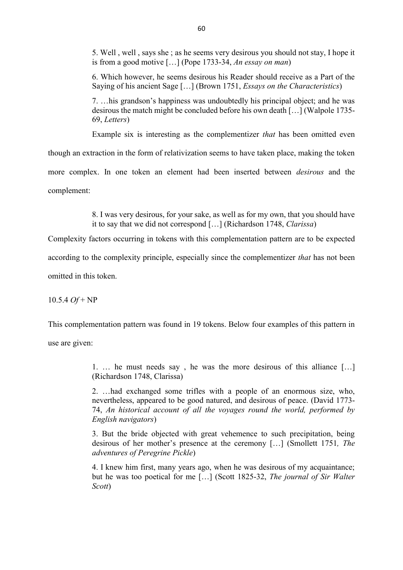5. Well , well , says she ; as he seems very desirous you should not stay, I hope it is from a good motive […] (Pope 1733-34, *An essay on man*)

6. Which however, he seems desirous his Reader should receive as a Part of the Saying of his ancient Sage […] (Brown 1751, *Essays on the Characteristics*)

7. …his grandson's happiness was undoubtedly his principal object; and he was desirous the match might be concluded before his own death […] (Walpole 1735- 69, *Letters*)

Example six is interesting as the complementizer *that* has been omitted even

though an extraction in the form of relativization seems to have taken place, making the token more complex. In one token an element had been inserted between *desirous* and the complement:

> 8. I was very desirous, for your sake, as well as for my own, that you should have it to say that we did not correspond […] (Richardson 1748, *Clarissa*)

Complexity factors occurring in tokens with this complementation pattern are to be expected

according to the complexity principle, especially since the complementizer *that* has not been

omitted in this token.

10.5.4 *Of* + NP

This complementation pattern was found in 19 tokens. Below four examples of this pattern in

use are given:

1. … he must needs say , he was the more desirous of this alliance […] (Richardson 1748, Clarissa)

2. …had exchanged some trifles with a people of an enormous size, who, nevertheless, appeared to be good natured, and desirous of peace. (David 1773- 74, *An historical account of all the voyages round the world, performed by English navigators*)

3. But the bride objected with great vehemence to such precipitation, being desirous of her mother's presence at the ceremony […] (Smollett 1751*, The adventures of Peregrine Pickle*)

4. I knew him first, many years ago, when he was desirous of my acquaintance; but he was too poetical for me […] (Scott 1825-32, *The journal of Sir Walter Scott*)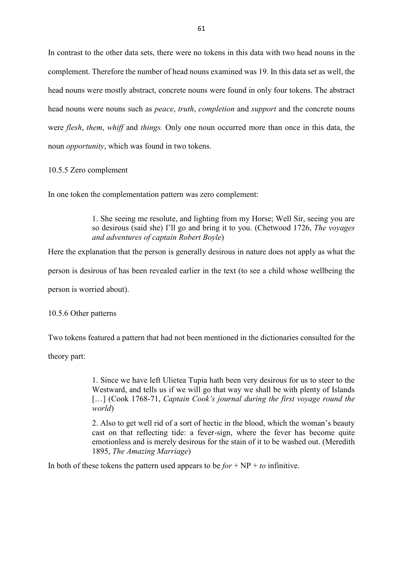In contrast to the other data sets, there were no tokens in this data with two head nouns in the complement. Therefore the number of head nouns examined was 19. In this data set as well, the head nouns were mostly abstract, concrete nouns were found in only four tokens. The abstract head nouns were nouns such as *peace*, *truth*, *completion* and *support* and the concrete nouns were *flesh*, *them*, *whiff* and *things.* Only one noun occurred more than once in this data, the noun *opportunity*, which was found in two tokens.

10.5.5 Zero complement

In one token the complementation pattern was zero complement:

1. She seeing me resolute, and lighting from my Horse; Well Sir, seeing you are so desirous (said she) I'll go and bring it to you. (Chetwood 1726, *The voyages and adventures of captain Robert Boyle*)

Here the explanation that the person is generally desirous in nature does not apply as what the

person is desirous of has been revealed earlier in the text (to see a child whose wellbeing the

person is worried about).

10.5.6 Other patterns

Two tokens featured a pattern that had not been mentioned in the dictionaries consulted for the

theory part:

1. Since we have left Ulietea Tupia hath been very desirous for us to steer to the Westward, and tells us if we will go that way we shall be with plenty of Islands [...] (Cook 1768-71, *Captain Cook's journal during the first voyage round the world*)

2. Also to get well rid of a sort of hectic in the blood, which the woman's beauty cast on that reflecting tide: a fever-sign, where the fever has become quite emotionless and is merely desirous for the stain of it to be washed out. (Meredith 1895, *The Amazing Marriage*)

In both of these tokens the pattern used appears to be  $for + NP + to$  infinitive.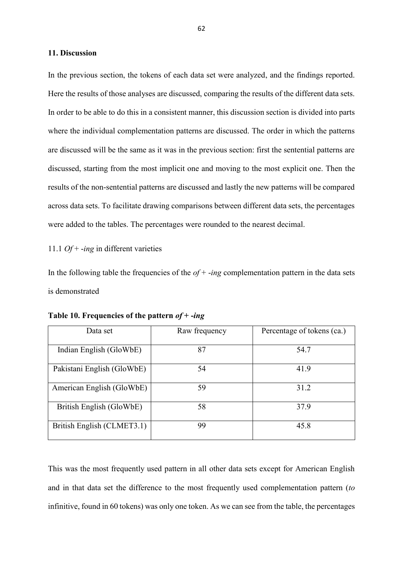### **11. Discussion**

In the previous section, the tokens of each data set were analyzed, and the findings reported. Here the results of those analyses are discussed, comparing the results of the different data sets. In order to be able to do this in a consistent manner, this discussion section is divided into parts where the individual complementation patterns are discussed. The order in which the patterns are discussed will be the same as it was in the previous section: first the sentential patterns are discussed, starting from the most implicit one and moving to the most explicit one. Then the results of the non-sentential patterns are discussed and lastly the new patterns will be compared across data sets. To facilitate drawing comparisons between different data sets, the percentages were added to the tables. The percentages were rounded to the nearest decimal.

11.1 *Of* + -*ing* in different varieties

In the following table the frequencies of the *of* + -*ing* complementation pattern in the data sets is demonstrated

| Data set                   | Raw frequency | Percentage of tokens (ca.) |
|----------------------------|---------------|----------------------------|
| Indian English (GloWbE)    | 87            | 54.7                       |
| Pakistani English (GloWbE) | 54            | 41.9                       |
| American English (GloWbE)  | 59            | 31.2                       |
| British English (GloWbE)   | 58            | 37.9                       |
| British English (CLMET3.1) | 99            | 45.8                       |

**Table 10. Frequencies of the pattern** *of* **+ -***ing*

This was the most frequently used pattern in all other data sets except for American English and in that data set the difference to the most frequently used complementation pattern (*to* infinitive, found in 60 tokens) was only one token. As we can see from the table, the percentages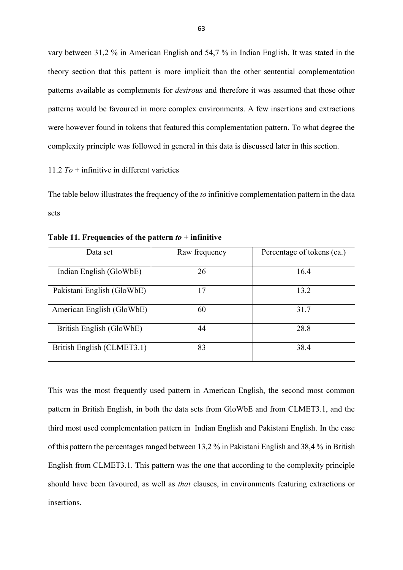vary between 31,2 % in American English and 54,7 % in Indian English. It was stated in the theory section that this pattern is more implicit than the other sentential complementation patterns available as complements for *desirous* and therefore it was assumed that those other patterns would be favoured in more complex environments. A few insertions and extractions were however found in tokens that featured this complementation pattern. To what degree the complexity principle was followed in general in this data is discussed later in this section.

11.2 *To* + infinitive in different varieties

The table below illustrates the frequency of the *to* infinitive complementation pattern in the data sets

| Data set                   | Raw frequency | Percentage of tokens (ca.) |
|----------------------------|---------------|----------------------------|
| Indian English (GloWbE)    | 26            | 16.4                       |
| Pakistani English (GloWbE) | 17            | 13.2                       |
| American English (GloWbE)  | 60            | 31.7                       |
| British English (GloWbE)   | 44            | 28.8                       |
| British English (CLMET3.1) | 83            | 38.4                       |

**Table 11. Frequencies of the pattern** *to* **+ infinitive**

This was the most frequently used pattern in American English, the second most common pattern in British English, in both the data sets from GloWbE and from CLMET3.1, and the third most used complementation pattern in Indian English and Pakistani English. In the case of this pattern the percentages ranged between 13,2 % in Pakistani English and 38,4 % in British English from CLMET3.1. This pattern was the one that according to the complexity principle should have been favoured, as well as *that* clauses, in environments featuring extractions or insertions.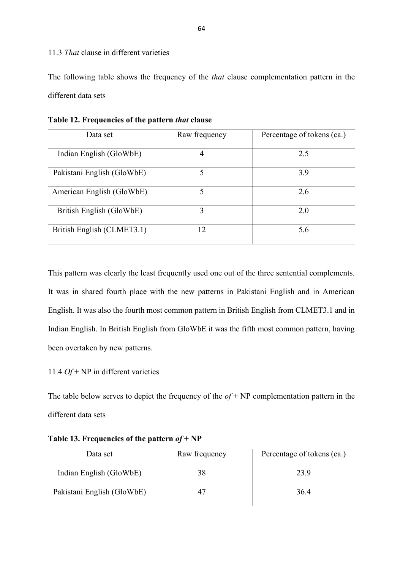# 11.3 *That* clause in different varieties

The following table shows the frequency of the *that* clause complementation pattern in the different data sets

| Data set                   | Raw frequency | Percentage of tokens (ca.) |
|----------------------------|---------------|----------------------------|
|                            |               |                            |
| Indian English (GloWbE)    |               | 2.5                        |
|                            |               |                            |
| Pakistani English (GloWbE) |               | 3.9                        |
|                            |               |                            |
| American English (GloWbE)  | 5             | 2.6                        |
|                            |               |                            |
| British English (GloWbE)   | 3             | 2.0                        |
|                            |               |                            |
| British English (CLMET3.1) | 12            | 5.6                        |
|                            |               |                            |

**Table 12. Frequencies of the pattern** *that* **clause** 

This pattern was clearly the least frequently used one out of the three sentential complements. It was in shared fourth place with the new patterns in Pakistani English and in American English. It was also the fourth most common pattern in British English from CLMET3.1 and in Indian English. In British English from GloWbE it was the fifth most common pattern, having been overtaken by new patterns.

11.4 *Of* + NP in different varieties

The table below serves to depict the frequency of the  $of + NP$  complementation pattern in the different data sets

| Data set                   | Raw frequency | Percentage of tokens (ca.) |
|----------------------------|---------------|----------------------------|
| Indian English (GloWbE)    |               | 23.9                       |
| Pakistani English (GloWbE) |               | 36.4                       |

**Table 13. Frequencies of the pattern** *of* **+ NP**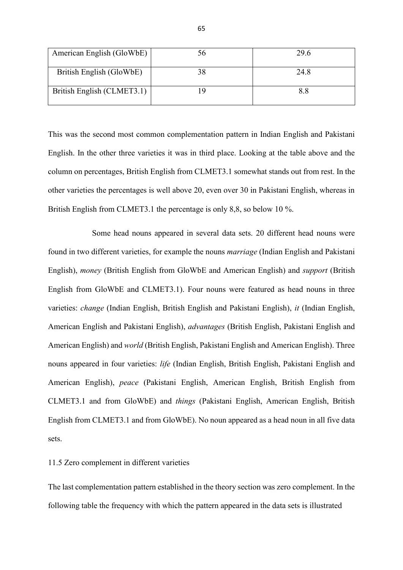| American English (GloWbE)  | 56 | 29.6 |
|----------------------------|----|------|
| British English (GloWbE)   |    | 24.8 |
| British English (CLMET3.1) |    | 8.8  |

This was the second most common complementation pattern in Indian English and Pakistani English. In the other three varieties it was in third place. Looking at the table above and the column on percentages, British English from CLMET3.1 somewhat stands out from rest. In the other varieties the percentages is well above 20, even over 30 in Pakistani English, whereas in British English from CLMET3.1 the percentage is only 8,8, so below 10 %.

Some head nouns appeared in several data sets. 20 different head nouns were found in two different varieties, for example the nouns *marriage* (Indian English and Pakistani English), *money* (British English from GloWbE and American English) and *support* (British English from GloWbE and CLMET3.1). Four nouns were featured as head nouns in three varieties: *change* (Indian English, British English and Pakistani English), *it* (Indian English, American English and Pakistani English), *advantages* (British English, Pakistani English and American English) and *world* (British English, Pakistani English and American English). Three nouns appeared in four varieties: *life* (Indian English, British English, Pakistani English and American English), *peace* (Pakistani English, American English, British English from CLMET3.1 and from GloWbE) and *things* (Pakistani English, American English, British English from CLMET3.1 and from GloWbE). No noun appeared as a head noun in all five data sets.

### 11.5 Zero complement in different varieties

The last complementation pattern established in the theory section was zero complement. In the following table the frequency with which the pattern appeared in the data sets is illustrated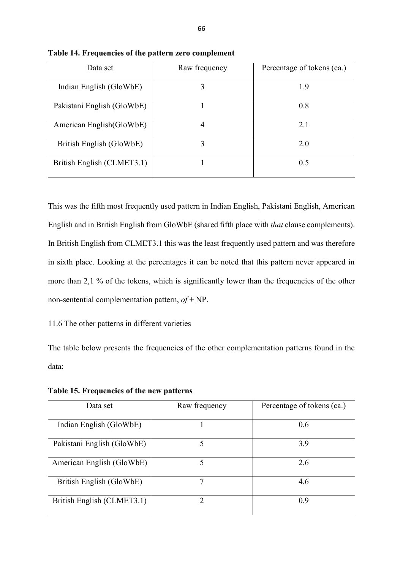| Data set                   | Raw frequency | Percentage of tokens (ca.) |
|----------------------------|---------------|----------------------------|
|                            |               |                            |
| Indian English (GloWbE)    | 3             | 1.9                        |
|                            |               |                            |
| Pakistani English (GloWbE) |               | 0.8                        |
|                            |               |                            |
| American English (GloWbE)  |               | 2.1                        |
|                            |               |                            |
| British English (GloWbE)   | 3             | 2.0                        |
|                            |               |                            |
| British English (CLMET3.1) |               | 0.5                        |
|                            |               |                            |

**Table 14. Frequencies of the pattern zero complement** 

This was the fifth most frequently used pattern in Indian English, Pakistani English, American English and in British English from GloWbE (shared fifth place with *that* clause complements). In British English from CLMET3.1 this was the least frequently used pattern and was therefore in sixth place. Looking at the percentages it can be noted that this pattern never appeared in more than 2,1 % of the tokens, which is significantly lower than the frequencies of the other non-sentential complementation pattern, *of* + NP.

# 11.6 The other patterns in different varieties

The table below presents the frequencies of the other complementation patterns found in the data:

| Data set                   | Raw frequency | Percentage of tokens (ca.) |
|----------------------------|---------------|----------------------------|
| Indian English (GloWbE)    |               | 0.6                        |
| Pakistani English (GloWbE) | 5             | 3.9                        |
| American English (GloWbE)  | 5             | 2.6                        |
| British English (GloWbE)   |               | 4.6                        |
| British English (CLMET3.1) | 2             | 0.9                        |

**Table 15. Frequencies of the new patterns**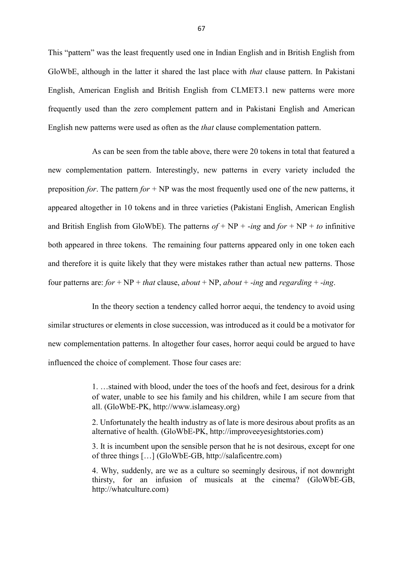This "pattern" was the least frequently used one in Indian English and in British English from GloWbE, although in the latter it shared the last place with *that* clause pattern. In Pakistani English, American English and British English from CLMET3.1 new patterns were more frequently used than the zero complement pattern and in Pakistani English and American English new patterns were used as often as the *that* clause complementation pattern.

As can be seen from the table above, there were 20 tokens in total that featured a new complementation pattern. Interestingly, new patterns in every variety included the preposition *for*. The pattern *for* + NP was the most frequently used one of the new patterns, it appeared altogether in 10 tokens and in three varieties (Pakistani English, American English and British English from GloWbE). The patterns  $of + NP + -ing$  and  $for + NP + to$  infinitive both appeared in three tokens. The remaining four patterns appeared only in one token each and therefore it is quite likely that they were mistakes rather than actual new patterns. Those four patterns are:  $for + NP + that$  clause,  $about + NP$ ,  $about + -ing$  and  $regarding + -ing$ .

In the theory section a tendency called horror aequi, the tendency to avoid using similar structures or elements in close succession, was introduced as it could be a motivator for new complementation patterns. In altogether four cases, horror aequi could be argued to have influenced the choice of complement. Those four cases are:

> 1. …stained with blood, under the toes of the hoofs and feet, desirous for a drink of water, unable to see his family and his children, while I am secure from that all. (GloWbE-PK, http://www.islameasy.org)

> 2. Unfortunately the health industry as of late is more desirous about profits as an alternative of health. (GloWbE-PK, http://improveeyesightstories.com)

> 3. It is incumbent upon the sensible person that he is not desirous, except for one of three things […] (GloWbE-GB, http://salaficentre.com)

> 4. Why, suddenly, are we as a culture so seemingly desirous, if not downright thirsty, for an infusion of musicals at the cinema? (GloWbE-GB, http://whatculture.com)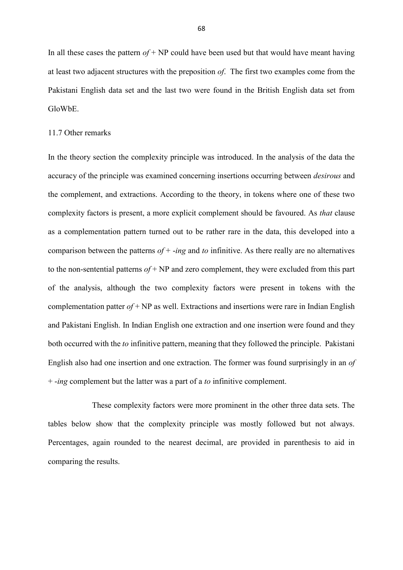In all these cases the pattern  $of + NP$  could have been used but that would have meant having at least two adjacent structures with the preposition *of*. The first two examples come from the Pakistani English data set and the last two were found in the British English data set from GloWbE.

#### 11.7 Other remarks

In the theory section the complexity principle was introduced. In the analysis of the data the accuracy of the principle was examined concerning insertions occurring between *desirous* and the complement, and extractions. According to the theory, in tokens where one of these two complexity factors is present, a more explicit complement should be favoured. As *that* clause as a complementation pattern turned out to be rather rare in the data, this developed into a comparison between the patterns *of* + -*ing* and *to* infinitive. As there really are no alternatives to the non-sentential patterns *of* + NP and zero complement, they were excluded from this part of the analysis, although the two complexity factors were present in tokens with the complementation patter  $of + NP$  as well. Extractions and insertions were rare in Indian English and Pakistani English. In Indian English one extraction and one insertion were found and they both occurred with the *to* infinitive pattern, meaning that they followed the principle. Pakistani English also had one insertion and one extraction. The former was found surprisingly in an *of* + -*ing* complement but the latter was a part of a *to* infinitive complement.

These complexity factors were more prominent in the other three data sets. The tables below show that the complexity principle was mostly followed but not always. Percentages, again rounded to the nearest decimal, are provided in parenthesis to aid in comparing the results.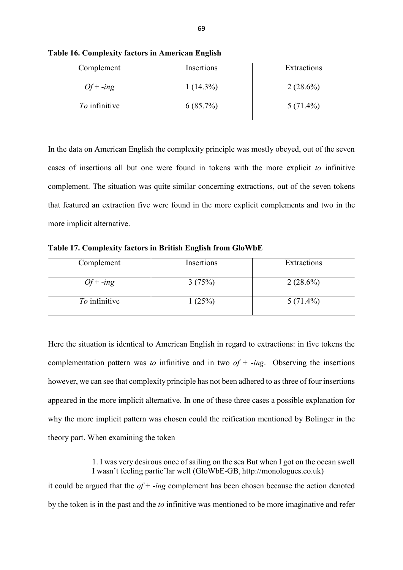| Complement    | Insertions  | Extractions |
|---------------|-------------|-------------|
| $Of + -ing$   | $1(14.3\%)$ | $2(28.6\%)$ |
| To infinitive | $6(85.7\%)$ | $5(71.4\%)$ |

**Table 16. Complexity factors in American English**

In the data on American English the complexity principle was mostly obeyed, out of the seven cases of insertions all but one were found in tokens with the more explicit *to* infinitive complement. The situation was quite similar concerning extractions, out of the seven tokens that featured an extraction five were found in the more explicit complements and two in the more implicit alternative.

**Table 17. Complexity factors in British English from GloWbE**

| Complement    | Insertions | Extractions |
|---------------|------------|-------------|
| $Of + -ing$   | 3(75%)     | $2(28.6\%)$ |
| To infinitive | 1(25%)     | $5(71.4\%)$ |

Here the situation is identical to American English in regard to extractions: in five tokens the complementation pattern was *to* infinitive and in two  $of + -ing$ . Observing the insertions however, we can see that complexity principle has not been adhered to as three of four insertions appeared in the more implicit alternative. In one of these three cases a possible explanation for why the more implicit pattern was chosen could the reification mentioned by Bolinger in the theory part. When examining the token

1. I was very desirous once of sailing on the sea But when I got on the ocean swell I wasn't feeling partic'lar well (GloWbE-GB, http://monologues.co.uk) it could be argued that the *of* + -*ing* complement has been chosen because the action denoted by the token is in the past and the *to* infinitive was mentioned to be more imaginative and refer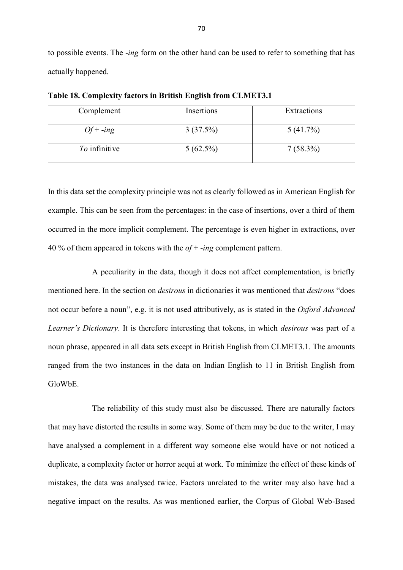to possible events. The -*ing* form on the other hand can be used to refer to something that has actually happened.

| Complement    | Insertions  | Extractions |
|---------------|-------------|-------------|
| $Of + -ing$   | 3(37.5%)    | $5(41.7\%)$ |
| To infinitive | $5(62.5\%)$ | $7(58.3\%)$ |

**Table 18. Complexity factors in British English from CLMET3.1**

In this data set the complexity principle was not as clearly followed as in American English for example. This can be seen from the percentages: in the case of insertions, over a third of them occurred in the more implicit complement. The percentage is even higher in extractions, over 40 % of them appeared in tokens with the *of* + -*ing* complement pattern.

A peculiarity in the data, though it does not affect complementation, is briefly mentioned here. In the section on *desirous* in dictionaries it was mentioned that *desirous* "does not occur before a noun", e.g. it is not used attributively, as is stated in the *Oxford Advanced Learner's Dictionary*. It is therefore interesting that tokens, in which *desirous* was part of a noun phrase, appeared in all data sets except in British English from CLMET3.1. The amounts ranged from the two instances in the data on Indian English to 11 in British English from GloWbE.

The reliability of this study must also be discussed. There are naturally factors that may have distorted the results in some way. Some of them may be due to the writer, I may have analysed a complement in a different way someone else would have or not noticed a duplicate, a complexity factor or horror aequi at work. To minimize the effect of these kinds of mistakes, the data was analysed twice. Factors unrelated to the writer may also have had a negative impact on the results. As was mentioned earlier, the Corpus of Global Web-Based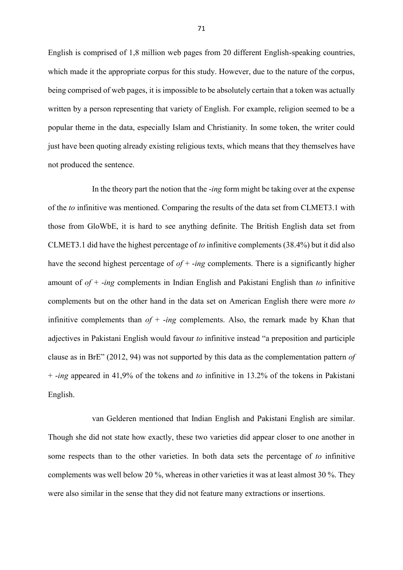English is comprised of 1,8 million web pages from 20 different English-speaking countries, which made it the appropriate corpus for this study. However, due to the nature of the corpus, being comprised of web pages, it is impossible to be absolutely certain that a token was actually written by a person representing that variety of English. For example, religion seemed to be a popular theme in the data, especially Islam and Christianity. In some token, the writer could just have been quoting already existing religious texts, which means that they themselves have not produced the sentence.

In the theory part the notion that the -*ing* form might be taking over at the expense of the *to* infinitive was mentioned. Comparing the results of the data set from CLMET3.1 with those from GloWbE, it is hard to see anything definite. The British English data set from CLMET3.1 did have the highest percentage of *to* infinitive complements (38.4%) but it did also have the second highest percentage of *of* + -*ing* complements. There is a significantly higher amount of *of* + -*ing* complements in Indian English and Pakistani English than *to* infinitive complements but on the other hand in the data set on American English there were more *to* infinitive complements than *of* + -*ing* complements. Also, the remark made by Khan that adjectives in Pakistani English would favour *to* infinitive instead "a preposition and participle clause as in BrE" (2012, 94) was not supported by this data as the complementation pattern *of*  + -*ing* appeared in 41,9% of the tokens and *to* infinitive in 13.2% of the tokens in Pakistani English.

van Gelderen mentioned that Indian English and Pakistani English are similar. Though she did not state how exactly, these two varieties did appear closer to one another in some respects than to the other varieties. In both data sets the percentage of *to* infinitive complements was well below 20 %, whereas in other varieties it was at least almost 30 %. They were also similar in the sense that they did not feature many extractions or insertions.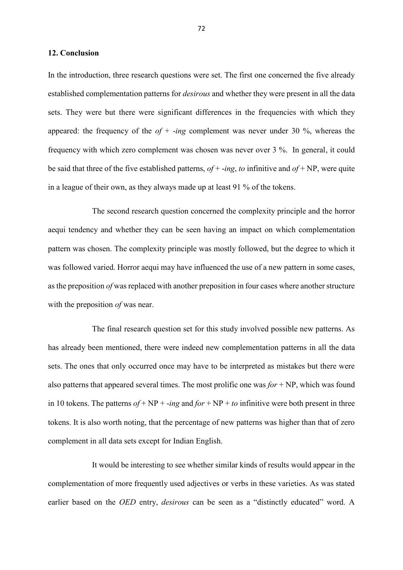### **12. Conclusion**

In the introduction, three research questions were set. The first one concerned the five already established complementation patterns for *desirous* and whether they were present in all the data sets. They were but there were significant differences in the frequencies with which they appeared: the frequency of the *of* + -*ing* complement was never under 30 %, whereas the frequency with which zero complement was chosen was never over 3 %. In general, it could be said that three of the five established patterns, *of* + -*ing*, *to* infinitive and *of* + NP, were quite in a league of their own, as they always made up at least 91 % of the tokens.

The second research question concerned the complexity principle and the horror aequi tendency and whether they can be seen having an impact on which complementation pattern was chosen. The complexity principle was mostly followed, but the degree to which it was followed varied. Horror aequi may have influenced the use of a new pattern in some cases, as the preposition *of* was replaced with another preposition in four cases where another structure with the preposition *of* was near.

The final research question set for this study involved possible new patterns. As has already been mentioned, there were indeed new complementation patterns in all the data sets. The ones that only occurred once may have to be interpreted as mistakes but there were also patterns that appeared several times. The most prolific one was *for* + NP, which was found in 10 tokens. The patterns  $of + NP + -ing$  and  $for + NP + to$  infinitive were both present in three tokens. It is also worth noting, that the percentage of new patterns was higher than that of zero complement in all data sets except for Indian English.

It would be interesting to see whether similar kinds of results would appear in the complementation of more frequently used adjectives or verbs in these varieties. As was stated earlier based on the *OED* entry, *desirous* can be seen as a "distinctly educated" word. A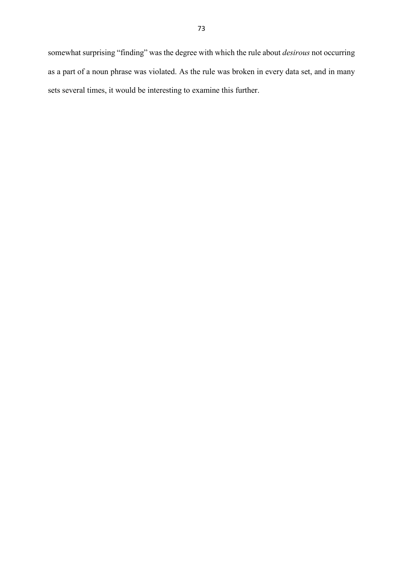somewhat surprising "finding" was the degree with which the rule about *desirous* not occurring as a part of a noun phrase was violated. As the rule was broken in every data set, and in many sets several times, it would be interesting to examine this further.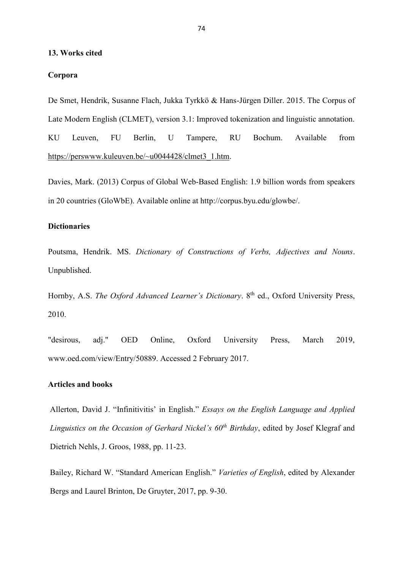### **13. Works cited**

## **Corpora**

De Smet, Hendrik, Susanne Flach, Jukka Tyrkkö & Hans-Jürgen Diller. 2015. The Corpus of Late Modern English (CLMET), version 3.1: Improved tokenization and linguistic annotation. KU Leuven, FU Berlin, U Tampere, RU Bochum. Available from [https://perswww.kuleuven.be/~u0044428/clmet3\\_1.htm.](https://perswww.kuleuven.be/~u0044428/clmet3_1.htm)

Davies, Mark. (2013) Corpus of Global Web-Based English: 1.9 billion words from speakers in 20 countries (GloWbE). Available online at http://corpus.byu.edu/glowbe/.

## **Dictionaries**

Poutsma, Hendrik. MS. *Dictionary of Constructions of Verbs, Adjectives and Nouns*. Unpublished.

Hornby, A.S. *The Oxford Advanced Learner's Dictionary*. 8<sup>th</sup> ed., Oxford University Press, 2010.

"desirous, adj." OED Online, Oxford University Press, March 2019, www.oed.com/view/Entry/50889. Accessed 2 February 2017.

## **Articles and books**

Allerton, David J. "Infinitivitis' in English." *Essays on the English Language and Applied Linguistics on the Occasion of Gerhard Nickel's 60th Birthday*, edited by Josef Klegraf and Dietrich Nehls, J. Groos, 1988, pp. 11-23.

Bailey, Richard W. "Standard American English." *Varieties of English*, edited by Alexander Bergs and Laurel Brinton, De Gruyter, 2017, pp. 9-30.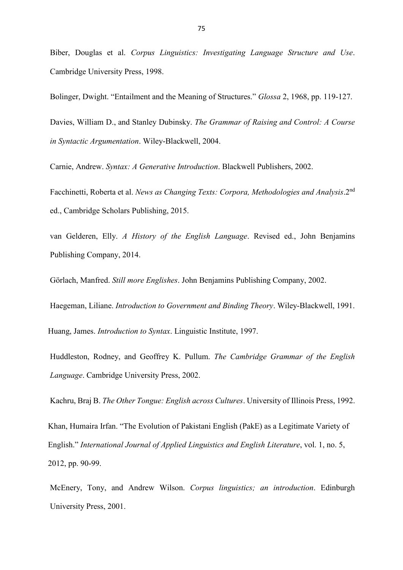Biber, Douglas et al. *Corpus Linguistics: Investigating Language Structure and Use*. Cambridge University Press, 1998.

Bolinger, Dwight. "Entailment and the Meaning of Structures." *Glossa* 2, 1968, pp. 119-127.

Davies, William D., and Stanley Dubinsky. *The Grammar of Raising and Control: A Course in Syntactic Argumentation*. Wiley-Blackwell, 2004.

Carnie, Andrew. *Syntax: A Generative Introduction*. Blackwell Publishers, 2002.

Facchinetti, Roberta et al. *News as Changing Texts: Corpora, Methodologies and Analysis*.2nd ed., Cambridge Scholars Publishing, 2015.

van Gelderen, Elly. *A History of the English Language*. Revised ed., John Benjamins Publishing Company, 2014.

Görlach, Manfred. *Still more Englishes*. John Benjamins Publishing Company, 2002.

Haegeman, Liliane. *Introduction to Government and Binding Theory*. Wiley-Blackwell, 1991.

Huang, James. *Introduction to Syntax*. Linguistic Institute, 1997.

Huddleston, Rodney, and Geoffrey K. Pullum. *The Cambridge Grammar of the English Language*. Cambridge University Press, 2002.

Kachru, Braj B. *The Other Tongue: English across Cultures*. University of Illinois Press, 1992.

Khan, Humaira Irfan. "The Evolution of Pakistani English (PakE) as a Legitimate Variety of English." *International Journal of Applied Linguistics and English Literature*, vol. 1, no. 5, 2012, pp. 90-99.

McEnery, Tony, and Andrew Wilson. *Corpus linguistics; an introduction*. Edinburgh University Press, 2001.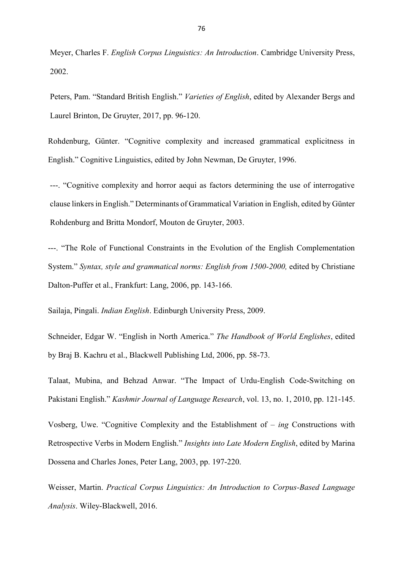Meyer, Charles F. *English Corpus Linguistics: An Introduction*. Cambridge University Press, 2002.

Peters, Pam. "Standard British English." *Varieties of English*, edited by Alexander Bergs and Laurel Brinton, De Gruyter, 2017, pp. 96-120.

Rohdenburg, Günter. "Cognitive complexity and increased grammatical explicitness in English." Cognitive Linguistics, edited by John Newman, De Gruyter, 1996.

---. "Cognitive complexity and horror aequi as factors determining the use of interrogative clause linkers in English." Determinants of Grammatical Variation in English, edited by Günter Rohdenburg and Britta Mondorf, Mouton de Gruyter, 2003.

---. "The Role of Functional Constraints in the Evolution of the English Complementation System." *Syntax, style and grammatical norms: English from 1500-2000,* edited by Christiane Dalton-Puffer et al., Frankfurt: Lang, 2006, pp. 143-166.

Sailaja, Pingali. *Indian English*. Edinburgh University Press, 2009.

Schneider, Edgar W. "English in North America." *The Handbook of World Englishes*, edited by Braj B. Kachru et al., Blackwell Publishing Ltd, 2006, pp. 58-73.

Talaat, Mubina, and Behzad Anwar. "The Impact of Urdu-English Code-Switching on Pakistani English." *Kashmir Journal of Language Research*, vol. 13, no. 1, 2010, pp. 121-145.

Vosberg, Uwe. "Cognitive Complexity and the Establishment of – *ing* Constructions with Retrospective Verbs in Modern English." *Insights into Late Modern English*, edited by Marina Dossena and Charles Jones, Peter Lang, 2003, pp. 197-220.

Weisser, Martin. *Practical Corpus Linguistics: An Introduction to Corpus-Based Language Analysis*. Wiley-Blackwell, 2016.